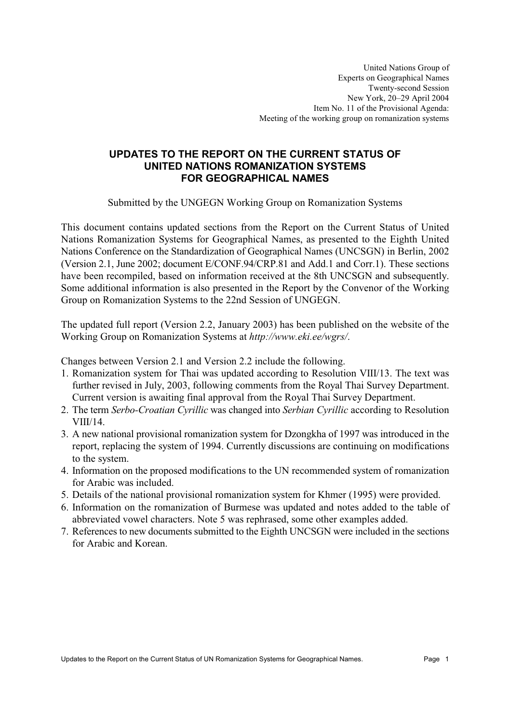## UPDATES TO THE REPORT ON THE CURRENT STATUS OF UNITED NATIONS ROMANIZATION SYSTEMS **FOR GEOGRAPHICAL NAMES**

Submitted by the UNGEGN Working Group on Romanization Systems

This document contains updated sections from the Report on the Current Status of United Nations Romanization Systems for Geographical Names, as presented to the Eighth United Nations Conference on the Standardization of Geographical Names (UNCSGN) in Berlin, 2002 (Version 2.1, June 2002; document E/CONF.94/CRP.81 and Add.1 and Corr.1). These sections have been recompiled, based on information received at the 8th UNCSGN and subsequently. Some additional information is also presented in the Report by the Convenor of the Working Group on Romanization Systems to the 22nd Session of UNGEGN.

The updated full report (Version 2.2, January 2003) has been published on the website of the Working Group on Romanization Systems at http://www.eki.ee/wgrs/.

Changes between Version 2.1 and Version 2.2 include the following.

- 1. Romanization system for Thai was updated according to Resolution VIII/13. The text was further revised in July, 2003, following comments from the Royal Thai Survey Department. Current version is awaiting final approval from the Royal Thai Survey Department.
- 2. The term Serbo-Croatian Cyrillic was changed into Serbian Cyrillic according to Resolution  $VIII/14.$
- 3. A new national provisional romanization system for Dzongkha of 1997 was introduced in the report, replacing the system of 1994. Currently discussions are continuing on modifications to the system.
- 4. Information on the proposed modifications to the UN recommended system of romanization for Arabic was included
- 5. Details of the national provisional romanization system for Khmer (1995) were provided.
- 6. Information on the romanization of Burmese was updated and notes added to the table of abbreviated vowel characters. Note 5 was rephrased, some other examples added.
- 7. References to new documents submitted to the Eighth UNCSGN were included in the sections for Arabic and Korean.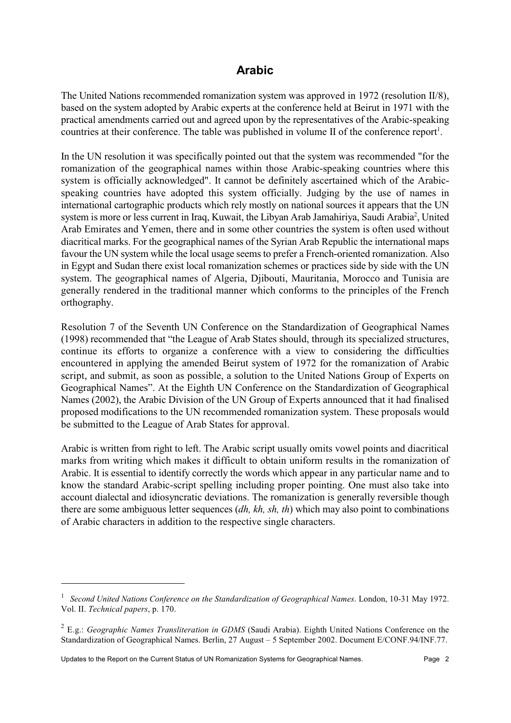## **Arabic**

The United Nations recommended romanization system was approved in 1972 (resolution II/8), based on the system adopted by Arabic experts at the conference held at Beirut in 1971 with the practical amendments carried out and agreed upon by the representatives of the Arabic-speaking countries at their conference. The table was published in volume II of the conference report<sup>1</sup>.

In the UN resolution it was specifically pointed out that the system was recommended "for the romanization of the geographical names within those Arabic-speaking countries where this system is officially acknowledged". It cannot be definitely ascertained which of the Arabicspeaking countries have adopted this system officially. Judging by the use of names in international cartographic products which rely mostly on national sources it appears that the UN system is more or less current in Iraq, Kuwait, the Libyan Arab Jamahiriya, Saudi Arabia<sup>2</sup>, United Arab Emirates and Yemen, there and in some other countries the system is often used without diacritical marks. For the geographical names of the Syrian Arab Republic the international maps favour the UN system while the local usage seems to prefer a French-oriented romanization. Also in Egypt and Sudan there exist local romanization schemes or practices side by side with the UN system. The geographical names of Algeria, Djibouti, Mauritania, Morocco and Tunisia are generally rendered in the traditional manner which conforms to the principles of the French orthography.

Resolution 7 of the Seventh UN Conference on the Standardization of Geographical Names (1998) recommended that "the League of Arab States should, through its specialized structures, continue its efforts to organize a conference with a view to considering the difficulties encountered in applying the amended Beirut system of 1972 for the romanization of Arabic script, and submit, as soon as possible, a solution to the United Nations Group of Experts on Geographical Names". At the Eighth UN Conference on the Standardization of Geographical Names (2002), the Arabic Division of the UN Group of Experts announced that it had finalised proposed modifications to the UN recommended romanization system. These proposals would be submitted to the League of Arab States for approval.

Arabic is written from right to left. The Arabic script usually omits vowel points and diacritical marks from writing which makes it difficult to obtain uniform results in the romanization of Arabic. It is essential to identify correctly the words which appear in any particular name and to know the standard Arabic-script spelling including proper pointing. One must also take into account dialectal and idiosyncratic deviations. The romanization is generally reversible though there are some ambiguous letter sequences  $(dh, kh, sh, th)$  which may also point to combinations of Arabic characters in addition to the respective single characters.

<sup>&</sup>lt;sup>1</sup> Second United Nations Conference on the Standardization of Geographical Names. London, 10-31 May 1972. Vol. II. Technical papers, p. 170.

<sup>&</sup>lt;sup>2</sup> E.g.: Geographic Names Transliteration in GDMS (Saudi Arabia). Eighth United Nations Conference on the Standardization of Geographical Names. Berlin, 27 August - 5 September 2002. Document E/CONF.94/INF.77.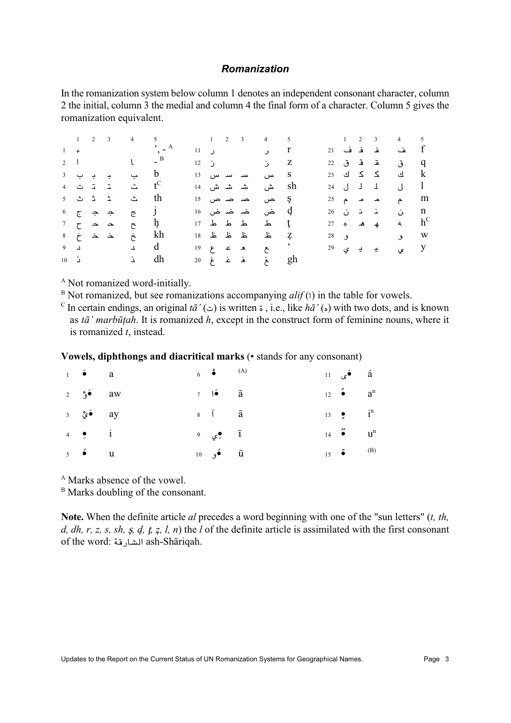#### **Romanization**

In the romanization system below column 1 denotes an independent consonant character, column 2 the initial, column 3 the medial and column 4 the final form of a character. Column 5 gives the romanization equivalent.

|  |  |                                                                                                             | $1 \t2 \t3 \t4 \t5 \t1 \t2 \t3 \t4 \t5$ |  |  |                                          |  |  |                | $1 \quad 2 \quad 3 \quad 4 \quad 5$               |  |
|--|--|-------------------------------------------------------------------------------------------------------------|-----------------------------------------|--|--|------------------------------------------|--|--|----------------|---------------------------------------------------|--|
|  |  |                                                                                                             |                                         |  |  | $11$ ر $11$                              |  |  |                | f عف قد ف 21                                      |  |
|  |  | 2 1 $l - B$                                                                                                 |                                         |  |  | $12 \quad j \qquad \qquad j \qquad Z$    |  |  |                | q ق قد ق 22                                       |  |
|  |  | $\begin{array}{ccccccc}\n3 & 2 & 3 \\ \end{array}$                                                          |                                         |  |  | S س سـ سـ س 13                           |  |  |                | ا ای ککای 23 ا                                    |  |
|  |  |                                                                                                             |                                         |  |  | Sh ش ششش 14                              |  |  |                | l ل 1 ل 24                                        |  |
|  |  | $\mathfrak s$ شــدْ ثــ ثــ                                                                                 |                                         |  |  | $15 \text{ cm}$ هن حسن هن 15             |  |  |                | .11 م م م م 25                                    |  |
|  |  | $\begin{matrix} 6 & 2 \end{matrix}$ $\begin{matrix} 2 & 3 \end{matrix}$ $\begin{matrix} 2 & 3 \end{matrix}$ |                                         |  |  | q غں غص <b>ض</b> غص 16                   |  |  | ـَـَـ ـَـ ن 26 | n ن                                               |  |
|  |  | $7$ $\sim$ $\sim$ $\sim$ $h$                                                                                |                                         |  |  | $17 \quad 11 \quad 13 \quad 15 \quad 15$ |  |  |                | 27 <b>a</b> $\phi$ <b>a</b> $\phi$ <b>c</b> $h^C$ |  |
|  |  | $8\quad \, \dot{\tau} \quad \, \dot{\Delta} \quad \, \dot{\Delta} \quad \, \dot{\tau}$                      | kh                                      |  |  | 7 غلا غلا غلا 18                         |  |  |                | 28 <b>ق 28</b>                                    |  |
|  |  | $9 \quad 1 \quad 1 \quad 0$                                                                                 |                                         |  |  | $19 \quad 2 \quad 3 \quad 4$             |  |  |                | 29 ي يے يے $\frac{1}{2}$ 9 ي                      |  |
|  |  | 10 $\lambda$ dh                                                                                             |                                         |  |  | 20 غ غـ غ غ                              |  |  |                |                                                   |  |

<sup>A</sup> Not romanized word-initially.

 $B$  Not romanized, but see romanizations accompanying *alif* (1) in the table for vowels.

 $\epsilon$  In certain endings, an original  $t\bar{a}'(\epsilon)$  is written  $\epsilon$ , i.e., like  $h\bar{a}'(\epsilon)$  with two dots, and is known as tā' marbūțah. It is romanized h, except in the construct form of feminine nouns, where it is romanized  $t$ , instead.

| Vowels, diphthongs and diacritical marks (· stands for any consonant) |  |  |  |
|-----------------------------------------------------------------------|--|--|--|
|-----------------------------------------------------------------------|--|--|--|

| $1 \bullet a$                   |  | $6 \bullet$ (A)                    |  | $11 \quad \bullet \quad \bullet \quad \bullet$ |  |
|---------------------------------|--|------------------------------------|--|------------------------------------------------|--|
| $2 \quad \text{S}$ $\bullet$ aw |  | $7 \quad 16 \quad \bar{a}$         |  | $12 \bullet a^n$                               |  |
| ay <b>وَيْ</b>                  |  | $8 \quad \tilde{1} \quad \bar{a}$  |  | 13 $\bullet$ i <sup>n</sup>                    |  |
| $4 \quad \bullet \quad \quad i$ |  | $9\qquad \qquad 9 \qquad \qquad 1$ |  | 14 $\bullet$ $u^n$                             |  |
| $5 \bullet u$                   |  | 10 $\bullet$ $\bar{u}$             |  | 15 $\bullet$ (B)                               |  |

<sup>A</sup> Marks absence of the vowel.

<sup>B</sup> Marks doubling of the consonant.

**Note.** When the definite article *al* precedes a word beginning with one of the "sun letters"  $(t, th, t)$ d, dh, r, z, s, sh, s, d, t, z, l, n) the l of the definite article is assimilated with the first consonant of the word: الشارقة ash-Shāriqah.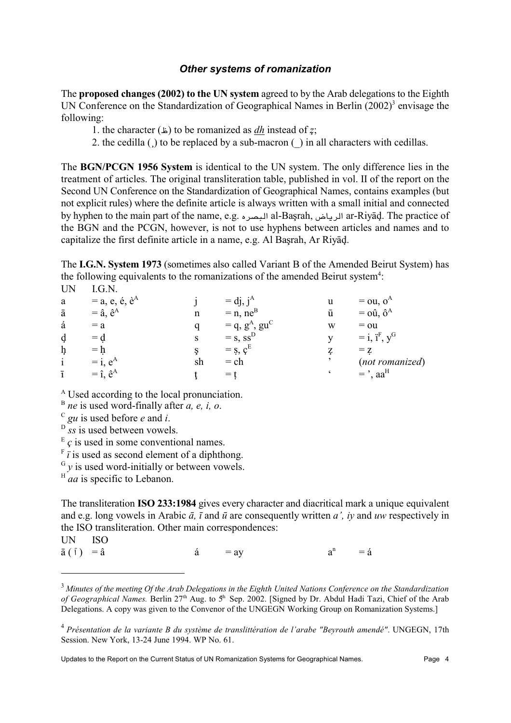#### Other systems of romanization

The proposed changes (2002) to the UN system agreed to by the Arab delegations to the Eighth UN Conference on the Standardization of Geographical Names in Berlin  $(2002)^3$  envisage the following:

- 1. the character  $(\pm)$  to be romanized as *dh* instead of z;
- 2. the cedilla ( $\alpha$ ) to be replaced by a sub-macron ( $\alpha$ ) in all characters with cedillas.

The BGN/PCGN 1956 System is identical to the UN system. The only difference lies in the treatment of articles. The original transliteration table, published in vol. II of the report on the Second UN Conference on the Standardization of Geographical Names, contains examples (but not explicit rules) where the definite article is always written with a small initial and connected by hyphen to the main part of the name, e.g. البصره al-Başrah, المصروم ar-Riyāḍ. The practice of the BGN and the PCGN, however, is not to use hyphens between articles and names and to capitalize the first definite article in a name, e.g. Al Başrah, Ar Riyad.

The I.G.N. System 1973 (sometimes also called Variant B of the Amended Beirut System) has the following equivalents to the romanizations of the amended Beirut system<sup>4</sup>: **UN**  $LG.N.$ 

| a              | $=$ a, e, é, è <sup>A</sup> |    | $=$ dj, $i^A$           |   | $=$ ou, o <sup><math>A</math></sup>      |
|----------------|-----------------------------|----|-------------------------|---|------------------------------------------|
| ā              | $=$ â, $\hat{e}^A$          |    | $= n$ , ne <sup>B</sup> | ū | $=$ 0 $\hat{u}$ , $\hat{o}^{A}$          |
| á              | $= a$                       |    | $= q, gA, guC$          | W | $=$ 0u                                   |
| d              | $= d$                       |    | $=$ s, ss <sup>D</sup>  |   | $=$ i, i <sup>F</sup> , $y$ <sup>G</sup> |
| ħ              | $= h$                       |    | $=$ s, $cE$             |   | $= z$                                    |
| $\mathbf{i}$   | $=$ i, $e^{A}$              | sh | $=$ ch                  |   | (not romanized)                          |
| $\overline{1}$ | $=$ î, $\hat{e}^A$          |    | $=$ t                   |   | $=$ , $aaH$                              |

<sup>A</sup> Used according to the local pronunciation.

 $B$  *ne* is used word-finally after *a*, *e*, *i*, *o*.

 $\sigma$  gu is used before e and i.

 $\overrightarrow{S}_{SS}$  is used between vowels.

 $E_c$  is used in some conventional names.

 $\bar{f}$  is used as second element of a diphthong.

 $G_y$  is used word-initially or between vowels.

 $H$  *aa* is specific to Lebanon.

The transliteration ISO 233:1984 gives every character and diacritical mark a unique equivalent and e.g. long vowels in Arabic  $\bar{a}$ ,  $\bar{\imath}$  and  $\bar{u}$  are consequently written  $a'$ , iv and uw respectively in the ISO transliteration. Other main correspondences:

 $= ay$ 

**UN ISO** 

 $\bar{a}(\tilde{\ } ) = \hat{a}$ 

á

 $a<sup>n</sup>$  $=$  á

 $3$  Minutes of the meeting Of the Arab Delegations in the Eighth United Nations Conference on the Standardization of Geographical Names. Berlin 27<sup>th</sup> Aug. to 5<sup>th</sup> Sep. 2002. [Signed by Dr. Abdul Hadi Tazi, Chief of the Arab Delegations. A copy was given to the Convenor of the UNGEGN Working Group on Romanization Systems.

<sup>&</sup>lt;sup>4</sup> Présentation de la variante B du système de translittération de l'arabe "Beyrouth amendé". UNGEGN, 17th Session. New York, 13-24 June 1994. WP No. 61.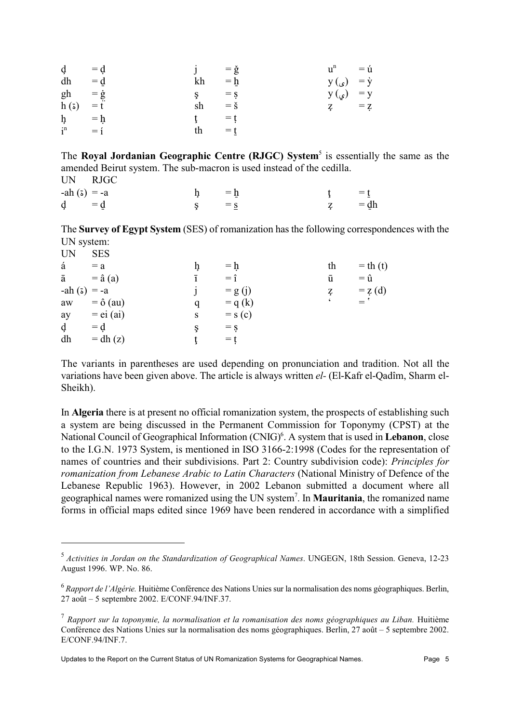| $\dot{\mathbf{d}} = \dot{\mathbf{d}}$ |       | $j = \check{g}$ |                          | $u^n = u$            |  |
|---------------------------------------|-------|-----------------|--------------------------|----------------------|--|
| dh                                    | $= d$ | kh              | $= h$                    | $y(\zeta) = \dot{y}$ |  |
| $gh = \dot{g}$                        |       | $\zeta = \zeta$ |                          | $y(\zeta) = y$       |  |
| $h(\zeta) = \zeta$                    |       | sh              | $=$ $\check{\mathbf{s}}$ | $\zeta = \zeta$      |  |
| $h = h$                               |       | $t = t$         |                          |                      |  |
| $i^n = i$                             |       | th              | $=$ t                    |                      |  |

The Roval Jordanian Geographic Centre (RJGC) System<sup>5</sup> is essentially the same as the amended Beirut system. The sub-macron is used instead of the cedilla. **UN RJGC** 

| -ah (ة) = -a                          |         | $\dot{\mathbf{p}} = \bar{\mathbf{p}}$ |  | $\mathbf{t} = \mathbf{t}$ |
|---------------------------------------|---------|---------------------------------------|--|---------------------------|
| $\dot{\mathbf{q}} = \dot{\mathbf{q}}$ | $S = S$ |                                       |  | z = dh                    |

The Survey of Egypt System (SES) of romanization has the following correspondences with the UN system:  $\overline{LN}$  $CFC$ 

| ◡                 | ິ            |   |                        |                          |              |
|-------------------|--------------|---|------------------------|--------------------------|--------------|
| á                 | $= a$        |   | $= h$                  | th                       | $=$ th $(t)$ |
| ā                 | $=$ â $(a)$  |   | $=$ $\hat{1}$          | ū                        | $= \hat{u}$  |
| $-ah(\zeta) = -a$ |              |   | $= g(j)$               | Ţ                        | $= z(d)$     |
| aw                | $=$ ô (au)   | q | $= q (k)$              | $\boldsymbol{\varsigma}$ | $=$ '        |
| ay                | $=$ ei (ai)  | S | $=$ s $(c)$            |                          |              |
| d                 | $= d$        | Ş | $=$ $\dot{\mathbf{s}}$ |                          |              |
| dh                | $=$ dh $(z)$ |   | $=$ t                  |                          |              |
|                   |              |   |                        |                          |              |

The variants in parentheses are used depending on pronunciation and tradition. Not all the variations have been given above. The article is always written el- (El-Kafr el-Qadîm, Sharm el-Sheikh).

In Algeria there is at present no official romanization system, the prospects of establishing such a system are being discussed in the Permanent Commission for Toponymy (CPST) at the National Council of Geographical Information (CNIG)<sup>6</sup>. A system that is used in Lebanon, close to the I.G.N. 1973 System, is mentioned in ISO 3166-2:1998 (Codes for the representation of names of countries and their subdivisions. Part 2: Country subdivision code): Principles for romanization from Lebanese Arabic to Latin Characters (National Ministry of Defence of the Lebanese Republic 1963). However, in 2002 Lebanon submitted a document where all geographical names were romanized using the UN system<sup>7</sup>. In **Mauritania**, the romanized name forms in official maps edited since 1969 have been rendered in accordance with a simplified

 $<sup>5</sup>$  Activities in Jordan on the Standardization of Geographical Names. UNGEGN, 18th Session. Geneva, 12-23</sup> August 1996. WP. No. 86.

 $^6$  Rapport de l'Algérie. Huitième Conférence des Nations Unies sur la normalisation des noms géographiques. Berlin, 27 août - 5 septembre 2002. E/CONF.94/INF.37.

 $^7$  Rapport sur la toponymie, la normalisation et la romanisation des noms géographiques au Liban. Huitième Conférence des Nations Unies sur la normalisation des noms géographiques. Berlin, 27 août – 5 septembre 2002. E/CONF.94/INF.7.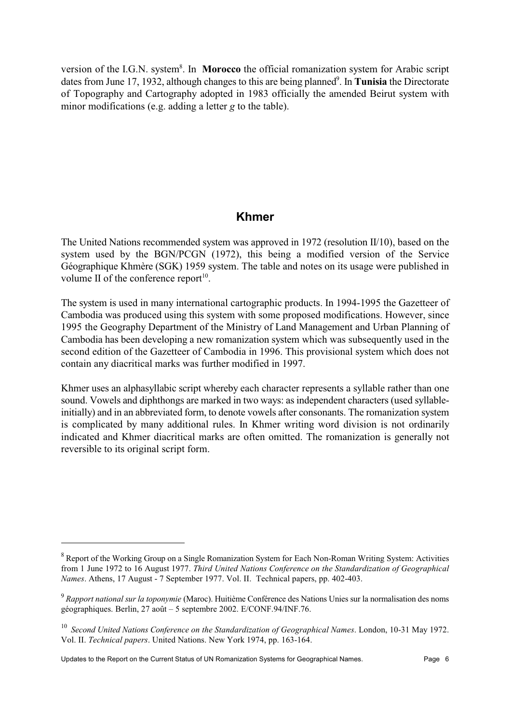version of the I.G.N. system<sup>8</sup>. In Morocco the official romanization system for Arabic script dates from June 17, 1932, although changes to this are being planned<sup>9</sup>. In **Tunisia** the Directorate of Topography and Cartography adopted in 1983 officially the amended Beirut system with minor modifications (e.g. adding a letter  $g$  to the table).

## **Khmer**

The United Nations recommended system was approved in 1972 (resolution II/10), based on the system used by the BGN/PCGN (1972), this being a modified version of the Service Géographique Khmère (SGK) 1959 system. The table and notes on its usage were published in volume II of the conference report $^{10}$ .

The system is used in many international cartographic products. In 1994-1995 the Gazetteer of Cambodia was produced using this system with some proposed modifications. However, since 1995 the Geography Department of the Ministry of Land Management and Urban Planning of Cambodia has been developing a new romanization system which was subsequently used in the second edition of the Gazetteer of Cambodia in 1996. This provisional system which does not contain any diacritical marks was further modified in 1997.

Khmer uses an alphasyllabic script whereby each character represents a syllable rather than one sound. Vowels and diphthongs are marked in two ways: as independent characters (used syllableinitially) and in an abbreviated form, to denote vowels after consonants. The romanization system is complicated by many additional rules. In Khmer writing word division is not ordinarily indicated and Khmer diacritical marks are often omitted. The romanization is generally not reversible to its original script form.

<sup>&</sup>lt;sup>8</sup> Report of the Working Group on a Single Romanization System for Each Non-Roman Writing System: Activities from 1 June 1972 to 16 August 1977. Third United Nations Conference on the Standardization of Geographical Names. Athens, 17 August - 7 September 1977. Vol. II. Technical papers, pp. 402-403.

 $9 R$ apport national sur la toponymie (Maroc). Huitième Conférence des Nations Unies sur la normalisation des noms géographiques. Berlin, 27 août – 5 septembre 2002. E/CONF.94/INF.76.

 $^{10}$  Second United Nations Conference on the Standardization of Geographical Names. London, 10-31 May 1972. Vol. II. Technical papers. United Nations. New York 1974, pp. 163-164.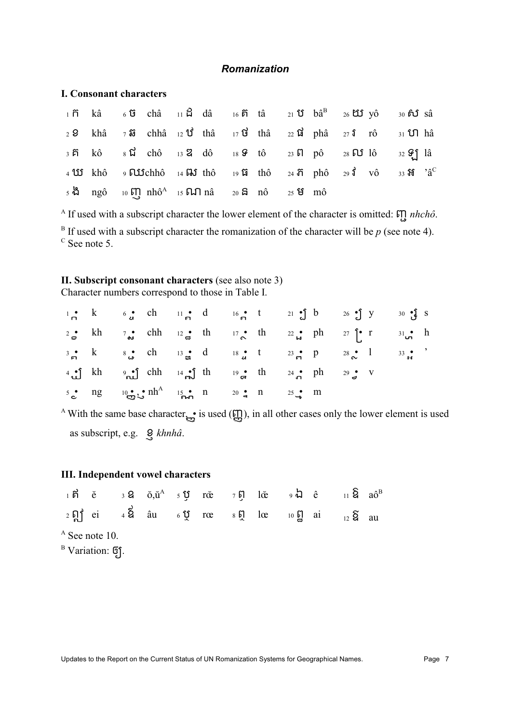#### Romanization

#### **I. Consonant characters**

| $1$ $\tilde{r}$ kâ $6$ $\tilde{u}$ châ $11$ $\tilde{u}$ dâ $16$ $\tilde{r}$ tâ $21$ $\tilde{u}$ $b\tilde{a}^B$ $26$ $\tilde{u}$ $\tilde{u}$ $y\tilde{0}$ $30$ $\tilde{r}$ $\tilde{u}$ $s\tilde{a}$ |  |  |  |  |  |  |  |
|----------------------------------------------------------------------------------------------------------------------------------------------------------------------------------------------------|--|--|--|--|--|--|--|
| $22$ khâ $7$ i chhâ $12$ 1 thâ $17$ 1 thâ $22$ 1 i phâ $27$ i rô $31$ 1 1 hâ                                                                                                                       |  |  |  |  |  |  |  |
| $3\overrightarrow{p}$ kô $8\overrightarrow{u}$ chô $13\overrightarrow{q}$ dô $18\overrightarrow{q}$ tô $23\overrightarrow{p}$ pô $28\overrightarrow{p}$ lô $32\overrightarrow{q}$ lâ               |  |  |  |  |  |  |  |
| 4 LE khô 9 $\overline{L}$ Chhô 14 Hờ thô 19 Li thô 24 Tr phô 29 $\overline{d}$ vô 33 H $a^C$                                                                                                       |  |  |  |  |  |  |  |
| $5\frac{13}{10}$ ngô 10 $5\frac{11}{10}$ nhô <sup>A</sup> 15 $5\frac{11}{10}$ nâ 20 $5\frac{13}{10}$ nô 25 $5\frac{13}{10}$ mô                                                                     |  |  |  |  |  |  |  |

<sup>A</sup> If used with a subscript character the lower element of the character is omitted:  $\iiint n hch\hat{o}$ . <sup>B</sup> If used with a subscript character the romanization of the character will be  $p$  (see note 4).  $\rm{^{C}}$  See note 5.

# II. Subscript consonant characters (see also note 3)

Character numbers correspond to those in Table I.

|  | $1 \cdot k$ 6. ch $11 \cdot d$ 16. t $21 \cdot 16$ b $26 \cdot 16$ y $30 \cdot 16$ S                                                                                                                        |  |  |
|--|-------------------------------------------------------------------------------------------------------------------------------------------------------------------------------------------------------------|--|--|
|  | 2 <sup>o</sup> kh 7 <sup>o</sup> chh 12 <sup>o</sup> th 17 <sup>o</sup> th 22 <sup>o</sup> ph 27 <sup>o</sup> r 31 <sup>o</sup> h                                                                           |  |  |
|  | $3 \cdot k$ $8 \cdot \cdot \cdot$ ch $13 \cdot \cdot \cdot \cdot$ d $18 \cdot \cdot \cdot \cdot \cdot$ d $23 \cdot \cdot \cdot \cdot \cdot$ $28 \cdot \cdot \cdot \cdot$ $33 \cdot \cdot \cdot \cdot \cdot$ |  |  |
|  | 4 f kh $\int$ chh $\int$ i fh $\int$ i fh $\int$ i fh $\int$ $\int$ $\int$ fh $\int$ $\int$ $\int$ v                                                                                                        |  |  |
|  | $5 \cdot \text{ng}$ $10 \cdot \text{m/s} \cdot \text{nh}$ $15 \cdot \text{m/s}$ $120 \cdot \text{m/s}$ $125 \cdot \text{m/s}$ $15 \cdot \text{m/s}$                                                         |  |  |

<sup>A</sup> With the same base character  $\mathbf{g}$  is used ( $\mathbf{g}$ ), in all other cases only the lower element is used as subscript, e.g.  $Q$ , khnhâ.

#### **III.** Independent vowel characters

| $1$ b $\tilde{e}$ $3$ 8 $\tilde{o}, \tilde{u}^A$ $5$ $\tilde{v}$ $r\tilde{\alpha}$ $7$ b $1\tilde{\alpha}$ $9$ $\tilde{u}$ $\hat{e}$ $11$ $\tilde{Q}$ $a\hat{o}^B$ |  |  |  |  |  |
|--------------------------------------------------------------------------------------------------------------------------------------------------------------------|--|--|--|--|--|
| $2 \sum_{1}$ ei $4 \sum_{1}$ âu $6 \sum_{1}$ roe $8 \sum_{1}$ loe $10 \sum_{12}$ ai $12 \sum_{12}$ au                                                              |  |  |  |  |  |
| $^{\rm A}$ See note 10.                                                                                                                                            |  |  |  |  |  |
| B Variation: <b>5</b> 1.                                                                                                                                           |  |  |  |  |  |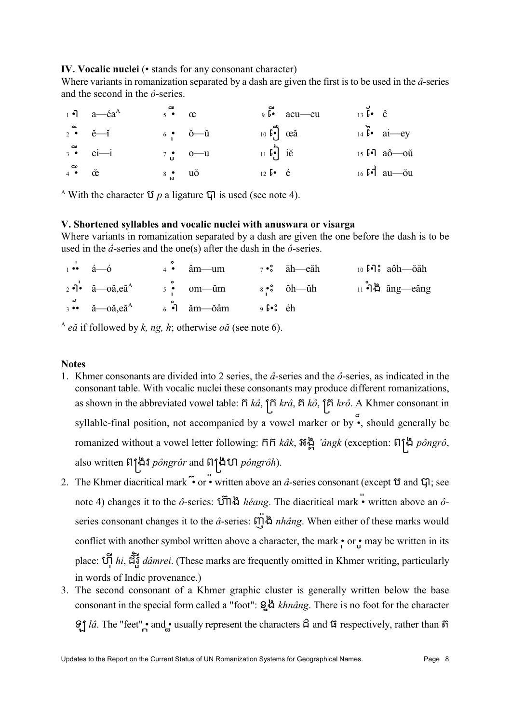#### IV. Vocalic nuclei ( $\cdot$  stands for any consonant character)

Where variants in romanization separated by a dash are given the first is to be used in the  $\hat{a}$ -series and the second in the  $\hat{o}$ -series.

|                                   | $a - \dot{e}a^{A}$ | $5 \bullet \quad \alpha$                |                                 |                                                                         | $9\bar{b}$ aeu—eu | $13\,\overline{b}$ $\cdot$ $\hat{e}$ |                                          |
|-----------------------------------|--------------------|-----------------------------------------|---------------------------------|-------------------------------------------------------------------------|-------------------|--------------------------------------|------------------------------------------|
| $2 \bullet \check{e} - \check{1}$ |                    |                                         | $6 \cdot \check{0} - \check{u}$ | $10 \, \overrightarrow{6} \, \overrightarrow{c} \, \overrightarrow{ca}$ |                   |                                      | $14 \, \tilde{b}$ ai—ey                  |
|                                   | $3 \bullet$ ei—i   |                                         | $7 \cdot 0$ $- u$               | $11 \, \text{b}$ ie                                                     |                   |                                      | $15 \, \text{b}$ -1 $a\hat{0}$ --0ŭ      |
| $4 \bullet \bullet \bullet$       |                    | $8 \biguplus_{\mathsf{M}}^{\bullet}$ uo |                                 | $12 \text{ b} \cdot \text{ e}$                                          |                   |                                      | $_{16}$ $\mathfrak{sd}$ au — $\text{ou}$ |

<sup>A</sup> With the character  $\mathfrak V$  *p* a ligature  $\mathfrak V$  is used (see note 4).

#### V. Shortened syllables and vocalic nuclei with anuswara or visarga

Where variants in romanization separated by a dash are given the one before the dash is to be used in the  $\hat{a}$ -series and the one(s) after the dash in the  $\hat{o}$ -series.

|  |                                                                                                                                                                                                                                                                                | $\overrightarrow{a}$ $\overrightarrow{a}$ $\overrightarrow{a}$ $\overrightarrow{a}$ $\overrightarrow{a}$ $\overrightarrow{a}$ $\overrightarrow{a}$ $\overrightarrow{a}$ $\overrightarrow{a}$ $\overrightarrow{a}$ $\overrightarrow{a}$ $\overrightarrow{a}$ $\overrightarrow{a}$ $\overrightarrow{a}$ $\overrightarrow{a}$ $\overrightarrow{a}$ $\overrightarrow{a}$ $\overrightarrow{a}$ $\overrightarrow{a}$ $\overrightarrow{a}$ $\overrightarrow{a}$ $\overrightarrow{a}$ $\overrightarrow{a}$ $\overrightarrow{a}$ $\overrightarrow{$      |  |
|--|--------------------------------------------------------------------------------------------------------------------------------------------------------------------------------------------------------------------------------------------------------------------------------|-------------------------------------------------------------------------------------------------------------------------------------------------------------------------------------------------------------------------------------------------------------------------------------------------------------------------------------------------------------------------------------------------------------------------------------------------------------------------------------------------------------------------------------------------|--|
|  |                                                                                                                                                                                                                                                                                | $\alpha$ <sup>2</sup> • $\alpha$ <sup>2</sup> • $\alpha$ <sub>2</sub> • $\alpha$ <sup>3</sup> • $\alpha$ <sup>2</sup> • $\alpha$ <sup>3</sup> • $\alpha$ <sup>3</sup> • $\alpha$ <sup>3</sup> • $\alpha$ <sup>3</sup> • $\alpha$ <sup>3</sup> • $\alpha$ <sup>3</sup> • $\alpha$ <sup>3</sup> • $\alpha$ <sup>3</sup> • $\alpha$ <sup>3</sup> • $\alpha$ <sup>3</sup> • $\alpha$ <sup>3</sup> • $\alpha$ <sup>3</sup> • $\alpha$ <sup>3</sup> • $\alpha$ <sup>3</sup> • $\alpha$ <sup>3</sup> • $\alpha$ <sup>3</sup> • $\alpha$ <sup>3</sup> • |  |
|  | $\frac{3}{3}$ •• $\frac{3}{4}$ $-\mathrm{o}$ $\mathrm{a}$ , $\mathrm{e}^{\frac{3}{4}}$ $\mathrm{o}$ $\frac{3}{4}$ $\mathrm{a}$ $\mathrm{m}$ $-\mathrm{o}$ $\mathrm{a}$ $\mathrm{m}$ $\mathrm{o}$ $\mathrm{f}$ $\mathrm{e}$ $\mathrm{s}$ $\mathrm{e}$ $\mathrm{e}$ $\mathrm{e}$ |                                                                                                                                                                                                                                                                                                                                                                                                                                                                                                                                                 |  |

 $A$  eă if followed by k, ng, h; otherwise oă (see note 6).

#### **Notes**

- 1. Khmer consonants are divided into 2 series, the  $\hat{a}$ -series and the  $\hat{o}$ -series, as indicated in the consonant table. With vocalic nuclei these consonants may produce different romanizations, as shown in the abbreviated vowel table:  $\tilde{n}$  ka,  $\tilde{n}$  ka,  $\tilde{n}$  ko,  $\tilde{n}$  krô. A Khmer consonant in syllable-final position, not accompanied by a vowel marker or by  $\bullet$ , should generally be romanized without a vowel letter following: ññ kâk,  $\mathfrak{g}^*$  angk (exception:  $\mathfrak{gl}^*$  pôngrô, also written ติโ<sup></sup>นิ*ิจ์ pôngrôr* and ติโนิ*ิงิโ*บิ *pôngrôh*).
- 2. The Khmer diacritical mark  $\ddot{\bullet}$  or  $\bullet$  written above an  $\hat{a}$ -series consonant (except  $\ddot{\sigma}$  and  $\ddot{\sigma}$ ); see note 4) changes it to the  $\hat{o}$ -series:  $\hat{U}$ l là *héang*. The diacritical mark  $\ddot{\cdot}$  written above an  $\hat{o}$ series consonant changes it to the  $\hat{a}$ -series:  $\overrightarrow{m}$   $\stackrel{1}{\sim}$   $n$   $h\hat{a}$ ng. When either of these marks would conflict with another symbol written above a character, the mark • or • may be written in its place:  $\tilde{U}$ ,  $\tilde{U}$ ,  $\tilde{U}$ ,  $\tilde{U}$  *dâmrei*. (These marks are frequently omitted in Khmer writing, particularly in words of Indic provenance.)
- 3. The second consonant of a Khmer graphic cluster is generally written below the base consonant in the special form called a "foot": 2.4 khnâng. There is no foot for the character  $\mathcal{G}$   $\hat{\mu}$  *lâ*. The "feet", and usually represent the characters  $\hat{\mu}$  and  $\hat{\mu}$  respectively, rather than  $\hat{\eta}$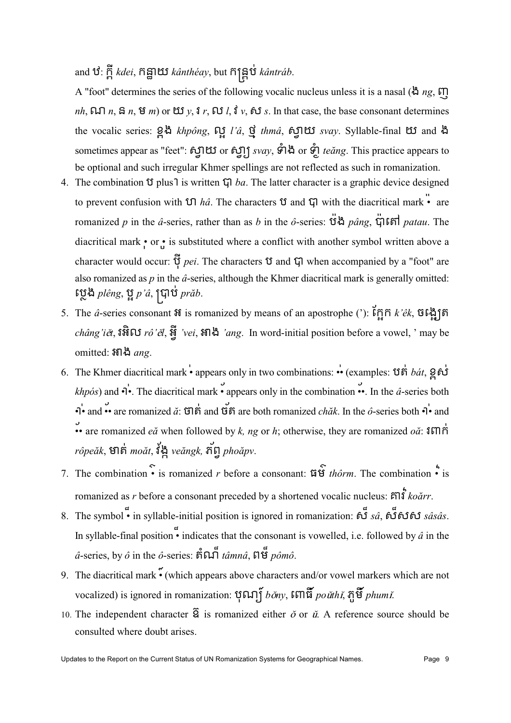and ឋํ: ក្ដី kdei, កិន្នាយ kânthéay, but កិន្ត្រីប់ kântráb.

A "foot" determines the series of the following vocalic nucleus unless it is a nasal ( $\hat{\alpha}$  ng,  $\overline{\mu}$ ) nh,  $\Box \Box$  n,  $\Box$  n,  $\Box$  m) or  $\Box \Box y$ ,  $\Box r$ ,  $\Box \Box l$ ,  $\Box v$ ,  $\angle \Box s$ . In that case, the base consonant determines the vocalic series: 24 khpông, og l'â, q thmâ, fglts svay. Syllable-final ts and a sometimes appear as "feet": ស្វាយ or ស្វា្យ svay, ទំាង or ទំា្ល teang. This practice appears to be optional and such irregular Khmer spellings are not reflected as such in romanization.

- 4. The combination  $\mathfrak V$  plus l is written  $\mathfrak V$  ba. The latter character is a graphic device designed to prevent confusion with  $\Omega$  hâ. The characters  $\Omega$  and  $\Omega$  with the diacritical mark  $\ddot{\bullet}$  are romanized p in the â-series, rather than as b in the ô-series:  $\ddot{\mathbf{u}}^{\mathbf{A}}$  pâng,  $\ddot{\mathbf{q}}$  is  $\ddot{\mathbf{u}}$  patau. The diacritical mark • or • is substituted where a conflict with another symbol written above a character would occur:  $\vec{\hat{v}}$  pei. The characters  $\hat{v}$  and  $\hat{v}$  when accompanied by a "foot" are also romanized as  $p$  in the  $\hat{a}$ -series, although the Khmer diacritical mark is generally omitted: ្ត្រេង plêng, ប្អូ p'â, ប្រាប់ prăb.
- 5. The  $\hat{a}$ -series consonant  $\hat{a}$  is romanized by means of an apostrophe ('):  $\hat{b}$ n  $\hat{b}$ n  $k$ ' $\hat{e}k$ ,  $\hat{a}$   $\hat{b}$  $\hat{b}$ châng'ie, រិអ៊ិល rô'el, អ៊្វី 'vei, អ៊ាង 'ang. In word-initial position before a vowel, ' may be omitted: អាង ang.
- 6. The Khmer diacritical mark appears only in two combinations: •• (examples:  $\hat{u}$  of  $\hat{b}$   $\hat{a}$   $\hat{c}$ ,  $\hat{g}$   $\hat{b}$  $\hat{d}$ khpós) and  $\overrightarrow{\mathbf{q}}$ . The diacritical mark • appears only in the combination ••. In the  $\hat{a}$ -series both  $\overrightarrow{p}$  and  $\overrightarrow{q}$  are romanized  $\overrightarrow{a}$ :  $\overrightarrow{q}$  of and  $\overrightarrow{q}$  are both romanized *chak*. In the  $\hat{o}$ -series both  $\overrightarrow{q}$  and • are romanized *e* $\check{a}$  when followed by *k*, *ng* or *h*; otherwise, they are romanized *oa*:  $\delta \mathbb{H} \mathbb{R}^2$ rôpeăk, មាត់ moăt, វីង្គ veăngk, ភ័ព្ទ phoăpv.
- 7. The combination  $\cdot$  is romanized r before a consonant:  $\mathfrak{g} \hat{\mathfrak{g}}$  thôrm. The combination  $\cdot$  is romanized as r before a consonant preceded by a shortened vocalic nucleus:  $\sin \hat{i}$  koărr.
- In syllable-final position  $\ddot{\bullet}$  indicates that the consonant is vowelled, i.e. followed by  $\hat{a}$  in the  $\hat{a}$ -series, by  $\hat{o}$  in the  $\hat{o}$ -series: หิ้ณา ็ $t\hat{a}mn\hat{a}$ , ពิษี  $p\hat{o}m\hat{o}$ .
- 9. The diacritical mark  $\tilde{\bullet}$  (which appears above characters and/or vowel markers which are not vocalized) is ignored in romanization:  $\mathfrak{P}\text{FT}$  bony,  $\mathfrak{FT}$   $\widetilde{\mathfrak{F}}$  po uthi,  $\mathfrak{F}\widetilde{\mathfrak{F}}$  phumi.
- 10. The independent character  $\tilde{g}$  is romanized either  $\check{\sigma}$  or  $\check{u}$ . A reference source should be consulted where doubt arises.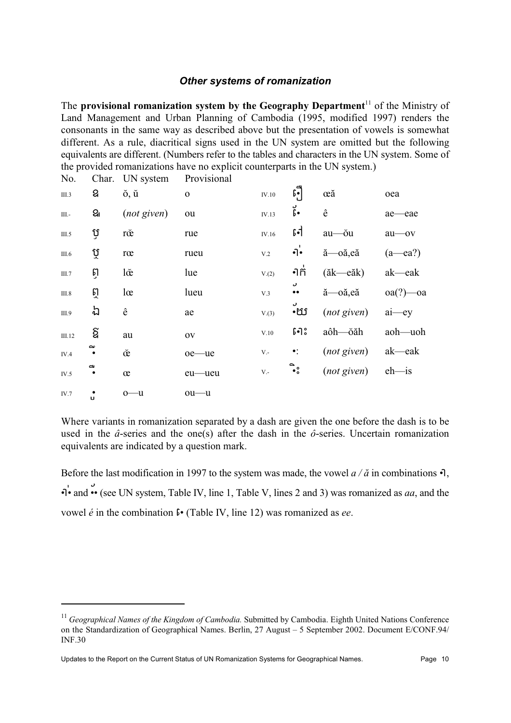## **Other systems of romanization**

The provisional romanization system by the Geography Department<sup>11</sup> of the Ministry of Land Management and Urban Planning of Cambodia (1995, modified 1997) renders the consonants in the same way as described above but the presentation of vowels is somewhat different. As a rule, diacritical signs used in the UN system are omitted but the following equivalents are different. (Numbers refer to the tables and characters in the UN system. Some of the provided romanizations have no explicit counterparts in the UN system.)  $\mathbf{r}$  $\sim$  1.  $\sim$  $T\mathbf{M}$  $\mathbf{D}_{\text{model}}$ 

| INO.         |                | Char. UN system                                                                                 | 107181011    |             |                              |                    |                |
|--------------|----------------|-------------------------------------------------------------------------------------------------|--------------|-------------|------------------------------|--------------------|----------------|
| III.3        | ଥ              | ŏ, ŭ                                                                                            | $\mathbf{o}$ | $\rm IV.10$ | $\mathfrak{g}$               | œă                 | oea            |
| Ш.-          | ଥା             | (not given)                                                                                     | ou           | IV.13       | ូ.                           | $\hat{\textbf{e}}$ | ae-eae         |
| III.5        | ប្             | rœ                                                                                              | rue          | IV.16       | $\mathfrak{sl}$              | au-ŏu              | au-ov          |
| III.6        | ប្             | $\operatorname*{r}\!\operatorname*{c}\!\operatorname*{r}\!\operatorname*{c}\!\operatorname*{r}$ | rueu         | $\rm V.2$   | $\ddot{\cdot}$               | ă-oă,eă            | $(a$ — ea?)    |
| III.7        | ព្វ            | $l\check{\alpha}$                                                                               | lue          | V.(2)       | •ํากั                        | (ăk—eăk)           | ak—eak         |
| <b>III.8</b> | ត្             | $l\alpha$                                                                                       | lueu         | V.3         | ر<br>$\bullet\,\bullet$      | ă-oă,eă            | $oa(?)$ — $oa$ |
| III.9        | ね              | ê                                                                                               | ae           | V.(3)       | ر<br>٠Œ                      | $(not$ given)      | $ai$ —ey       |
| III.12       | ଧି             | au                                                                                              | <b>OV</b>    | V.10        | $5 - 3$                      | aôh—ŏăh            | aoh—uoh        |
| IV.4         | $\sim$         | œ                                                                                               | oe-ue        | $V -$       | $\bullet$ :                  | (not given)        | ak—eak         |
| IV.5         | C<br>$\bullet$ | œ                                                                                               | eu—ueu       | $V -$       | $\overset{\circ}{\bullet}$ , | (not given)        | $eh$ —is       |
| IV.7         | п.             | $0 - u$                                                                                         | $ou$ — $u$   |             |                              |                    |                |

Where variants in romanization separated by a dash are given the one before the dash is to be used in the  $\hat{a}$ -series and the one(s) after the dash in the  $\hat{o}$ -series. Uncertain romanization equivalents are indicated by a question mark.

Before the last modification in 1997 to the system was made, the vowel  $a/\check{a}$  in combinations  $\cdot$ .  $\overrightarrow{P}$  and  $\overrightarrow{P}$  (see UN system, Table IV, line 1, Table V, lines 2 and 3) was romanized as *aa*, and the vowel  $\acute{e}$  in the combination  $\mathfrak{f}$  (Table IV, line 12) was romanized as ee.

 $^{11}$  Geographical Names of the Kingdom of Cambodia. Submitted by Cambodia. Eighth United Nations Conference on the Standardization of Geographical Names. Berlin, 27 August – 5 September 2002. Document E/CONF.94/ **INF.30**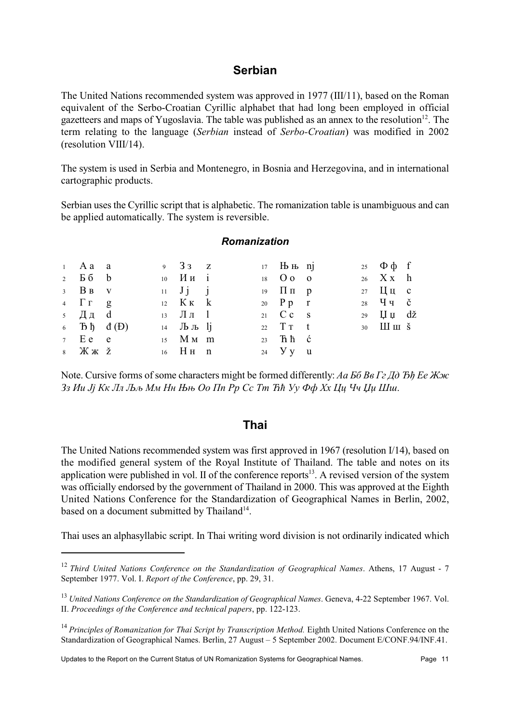## **Serbian**

The United Nations recommended system was approved in 1977 (III/11), based on the Roman equivalent of the Serbo-Croatian Cyrillic alphabet that had long been employed in official gazetteers and maps of Yugoslavia. The table was published as an annex to the resolution<sup>12</sup>. The term relating to the language (Serbian instead of Serbo-Croatian) was modified in 2002 (resolution VIII/14).

The system is used in Serbia and Montenegro, in Bosnia and Herzegovina, and in international cartographic products.

Serbian uses the Cyrillic script that is alphabetic. The romanization table is unambiguous and can be applied automatically. The system is reversible.

# **Romanization**

| $1$ A a a                                                                                                                   |  | 9 $33\degree$ z                    |  | $17$ Hb Hb nj                   |  | 25 $\Phi \phi$ f                          |  |
|-----------------------------------------------------------------------------------------------------------------------------|--|------------------------------------|--|---------------------------------|--|-------------------------------------------|--|
| $2$ $56$ $b$                                                                                                                |  | $10$ $M_{H}$ i                     |  | 18 O O O                        |  | $26$ $X x$ h                              |  |
| $3 \text{ } B \text{ } B \text{ } \text{ } V$                                                                               |  | $11 \quad J \quad j \quad j$       |  | 19 $\Pi \Pi$ p                  |  | 27 $\frac{\text{II}}{\text{II}}$ u c      |  |
| $4 \Gamma \Gamma$ g                                                                                                         |  | 12 $K_K$ $k$                       |  | 20 $Pp$ r                       |  |                                           |  |
| $\,$ 5 Дд $\,$ d $\,$                                                                                                       |  | $13 \text{ J} \text{J} \text{J}$ 1 |  | 21 $C c$ s                      |  | 29 $\[\Pi \Pi \]$ dž                      |  |
| $6$ $\overline{B}$ $\overline{D}$ $\overline{d}$ $(\overline{D})$                                                           |  | $14$ Jb Jb lj                      |  | 22 $T\tau$ t                    |  | $30$ $\text{III}$ $\text{III}$ $\text{S}$ |  |
| $7 \tEe e$                                                                                                                  |  | $15$ M M m                         |  | $23$ Th $\hbar$ $\hbar$ $\hbar$ |  |                                           |  |
| $8$ $\frac{1}{10}$ $\frac{1}{10}$ $\frac{1}{10}$ $\frac{1}{10}$ $\frac{1}{10}$ $\frac{1}{10}$ $\frac{1}{10}$ $\frac{1}{10}$ |  | $16$ HH $n$                        |  | 24 <b>y</b> y u                 |  |                                           |  |

Note. Cursive forms of some characters might be formed differently: Aa  $56$  Be  $\Gamma$  z  $\bar{A}$ d  $\bar{B}$ h Ee  $\bar{K}$  $\alpha$ c 33 Ии Jj Кк Лл Љљ Мм Нн Њњ Оо Пп Рр Сс Тт Ћћ Уу Фф Хх Ци Чч Џи Шш.

## **Thai**

The United Nations recommended system was first approved in 1967 (resolution  $1/14$ ), based on the modified general system of the Royal Institute of Thailand. The table and notes on its application were published in vol. If of the conference reports<sup>13</sup>. A revised version of the system was officially endorsed by the government of Thailand in 2000. This was approved at the Eighth United Nations Conference for the Standardization of Geographical Names in Berlin, 2002, based on a document submitted by Thailand<sup>14</sup>.

Thai uses an alphasyllabic script. In Thai writing word division is not ordinarily indicated which

<sup>&</sup>lt;sup>12</sup> Third United Nations Conference on the Standardization of Geographical Names. Athens, 17 August - 7 September 1977. Vol. I. Report of the Conference, pp. 29, 31.

<sup>&</sup>lt;sup>13</sup> United Nations Conference on the Standardization of Geographical Names. Geneva, 4-22 September 1967. Vol. II. Proceedings of the Conference and technical papers, pp. 122-123.

 $14$  Principles of Romanization for Thai Script by Transcription Method. Eighth United Nations Conference on the Standardization of Geographical Names. Berlin, 27 August - 5 September 2002. Document E/CONF.94/INF.41.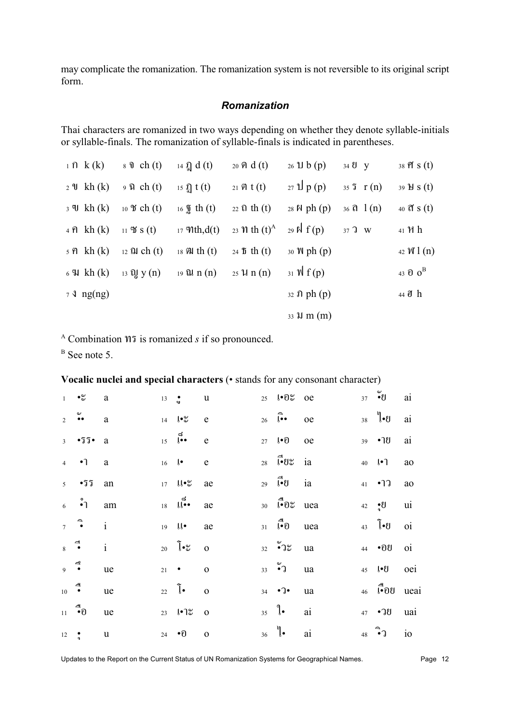may complicate the romanization. The romanization system is not reversible to its original script form.

#### Romanization

Thai characters are romanized in two ways depending on whether they denote syllable-initials or syllable-finals. The romanization of syllable-finals is indicated in parentheses.

| $1 \Omega k(k)$                | $\delta$ 0 ch (t)        | 14 $\Omega$ d (t)       | $_{20}$ ମ $d(t)$                               | $26 \text{ H b (p)}$                | 34 U y                                      | $38 \, \text{r/s}$ (t)                  |
|--------------------------------|--------------------------|-------------------------|------------------------------------------------|-------------------------------------|---------------------------------------------|-----------------------------------------|
| $2 \mathcal{U}$ kh (k)         | $9 \Omega$ ch (t)        | 15 $\Omega$ t (t)       | 21 $\hat{M}$ t (t)                             | $27 \text{ l} \cdot p(p)$           | $35 \space 5 \space r(n)$                   | $39 \text{ H } S(t)$                    |
| $3 \text{ }$ W kh (k)          | 10 $\mathfrak{B}$ ch (t) | $16 \frac{1}{2}$ th (t) | $22 \Omega \th(t)$                             | 28 $\mathbb{N}$ ph (p)              | $36 \text{ } \Omega \text{ } 1 \text{ (n)}$ |                                         |
| $4 \hat{p}$ kh $(k)$           | 11 $\mathfrak{B}$ s (t)  | $17 \text{ Th}, d(t)$   | 23 <i>n</i> th $(t)$ <sup>A</sup>              | 29 $\mathbb{R}$ f(p)                | $372$ W                                     | 41 H h                                  |
| $5 \hat{p}$ kh $(k)$           | 12 $\Omega$ ch (t)       | 18 $\mathbb{R}$ th (t)  | 24 $\delta$ th (t)                             | $30 \text{ W}$ ph $(p)$             |                                             | 42 $\mathbb{W}$ 1 (n)                   |
| $6 \,$ $\%$ kh $(k)$           | $_{13}$ Q, $y(n)$        | $19$ all $n(n)$         | $25 \text{ }\mathcal{U} \text{ }n \text{ }(n)$ | $31 \text{ N}$ f(p)                 |                                             | 43 $\mathbf{0}$ $\mathbf{0}^{\text{B}}$ |
| $7 \text{ } 3 \text{ }$ ng(ng) |                          |                         |                                                | $32 \text{ } \Omega \text{ ph (p)}$ |                                             | 44 J h                                  |
|                                |                          |                         |                                                | $33 \text{ W m}$ (m)                |                                             |                                         |

 $^{\rm A}$  Combination  $\mathfrak N$  is romanized s if so pronounced.

 $B$  See note 5.

## Vocalic nuclei and special characters (• stands for any consonant character)

|                | $1 - \infty$                                                                                       | $\mathbf{a}$ | $13 \quad \bullet$ |                                                                     | $\mathbf u$             | 25 l. 0% oe                                                                                                                                   |    | $37$ $\bullet$ $\bullet$                             | ai |
|----------------|----------------------------------------------------------------------------------------------------|--------------|--------------------|---------------------------------------------------------------------|-------------------------|-----------------------------------------------------------------------------------------------------------------------------------------------|----|------------------------------------------------------|----|
|                | $2 \cdot \infty$                                                                                   | $\mathbf{a}$ |                    | $14 \quad 10^{\circ}$ e                                             |                         | $26 \quad \widehat{b} \bullet \quad \text{oe}$                                                                                                |    | 38 $\int$ $\cdot$ $\theta$                           | ai |
|                | $3 - 55$                                                                                           | a            |                    | $\frac{5}{15}$ $\begin{bmatrix} 6 \\ 0 \\ 1 \end{bmatrix}$ e        |                         | 27 $\mathbf{I} \cdot \mathbf{D}$                                                                                                              | oe | 39 • 19                                              | ai |
|                | $4 \cdot 7$                                                                                        | $\mathbf{a}$ |                    | $16$ $\downarrow$                                                   | $\mathbf e$             | $28$ $\sqrt{1}$ $\frac{1}{2}$ $\frac{1}{2}$ $\frac{1}{2}$ $\frac{1}{2}$ $\frac{1}{2}$ $\frac{1}{2}$ $\frac{1}{2}$ $\frac{1}{2}$ $\frac{1}{2}$ |    | 40 $\{ \cdot \}$                                     | ao |
|                | $5 - 55$                                                                                           | an           |                    | $17$ $\mu\text{}^{\circ}$ ae                                        |                         | $_{29}$ $\overrightarrow{[}$ $\bullet$ $\theta$ ia                                                                                            |    | 41 $\bullet$ 77 ao                                   |    |
|                | $6 \quad \stackrel{\circ}{\bullet}1 \quad \text{am}$                                               |              |                    | $\frac{5}{18}$ $\frac{5}{18}$                                       | ae                      | $30\quad \vec{v}$ <sup>0</sup> $\vec{v}$ uea                                                                                                  |    | 42 <u>e</u> U ui                                     |    |
|                | $7 \bullet i$                                                                                      |              |                    | $19$ $10$ $ac$                                                      |                         | $31 \quad \stackrel{\triangle}{\bullet} 0$ uea                                                                                                |    | 43 $\begin{bmatrix} 1 & 0 \\ 0 & 1 \end{bmatrix}$ 01 |    |
|                | $\begin{array}{ccc} & & \rightarrow & \\ & \bullet & \\ & & \bullet & \end{array}$<br>$\mathbf{i}$ |              |                    | 20 $\int \bullet \infty$ 0                                          |                         | $32$ $\bullet$ $3\degree$ ua                                                                                                                  |    | 44 • OU                                              | 0i |
| $9 \t 8$       |                                                                                                    | ue           |                    | $21$ $\bullet$                                                      | $\mathbf{o}$            | $33 \ 9)$                                                                                                                                     | ua | 45 l.U oei                                           |    |
| $10$ $\bullet$ |                                                                                                    | ue           |                    | $_{22}$ $\begin{bmatrix} \bullet & \bullet & \bullet \end{bmatrix}$ |                         | $34 \cdot 7$                                                                                                                                  | ua | $46$ $\bullet$ 00 $\theta$ uear                      |    |
|                | $11 \quad 10$                                                                                      | ue           |                    | 23 $\sqrt{•}7\%$                                                    | $\overline{\mathbf{0}}$ | $35 \quad \degree$                                                                                                                            | ai | 47 • 78 uai                                          |    |
| $12 \,$        | $\frac{\bullet}{\bullet}$                                                                          | $\mathbf u$  | 24                 | $\bullet$ $\Theta$                                                  | $\mathbf{o}$            | $_{36}$ $\sqrt[6]{\bullet}$                                                                                                                   | ai | $48 \quad 10$                                        |    |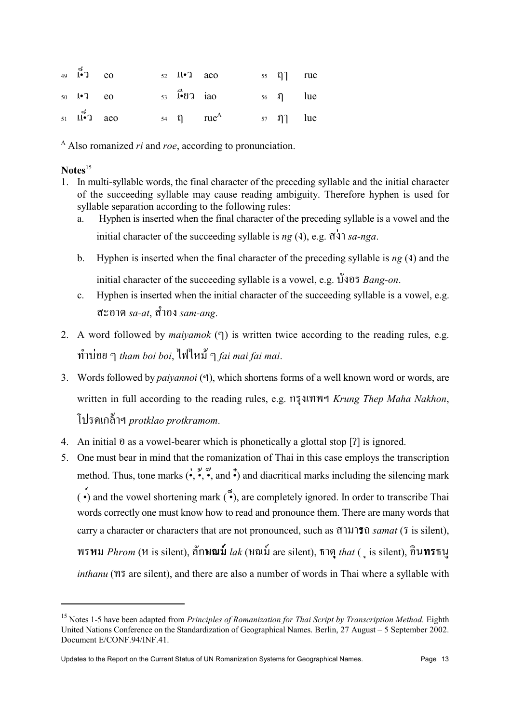| $49 \quad 100 \quad \text{e}$ |  | $52$ $\downarrow \downarrow \bullet$ $\uparrow$ $\phi$ aeo                                                                                                                                                                                                                                                                                                                                                                                               |  | $55 \quad \text{Q}$ rue            |  |
|-------------------------------|--|----------------------------------------------------------------------------------------------------------------------------------------------------------------------------------------------------------------------------------------------------------------------------------------------------------------------------------------------------------------------------------------------------------------------------------------------------------|--|------------------------------------|--|
| 50 $\ell$ • 3 eo              |  | $53 \quad \vec{[} \cdot \vec{[} \cdot \vec{[} \cdot \vec{[} \cdot \vec{[} \cdot \vec{[} \cdot \vec{[} \cdot \vec{[} \cdot \vec{[} \cdot \vec{[} \cdot \vec{[} \cdot \vec{[} \cdot \vec{[} \cdot \vec{[} \cdot \vec{[} \cdot \vec{[} \cdot \vec{[} \cdot \vec{[} \cdot \vec{[} \cdot \vec{[} \cdot \vec{[} \cdot \vec{[} \cdot \vec{[} \cdot \vec{[} \cdot \vec{[} \cdot \vec{[} \cdot \vec{[} \cdot \vec{[} \cdot \vec{[} \cdot \vec{[} \cdot \vec{[} \$ |  | $56 \quad \Omega$ lue              |  |
| $51 \quad 11^{\bullet}$ aeo   |  | 54 $\Omega$ rue <sup>A</sup>                                                                                                                                                                                                                                                                                                                                                                                                                             |  | $57 \quad \text{I}$ and $\text{I}$ |  |

 $^{\rm A}$  Also romanized *ri* and *roe*, according to pronunciation.

#### $$

- 1. In multi-syllable words, the final character of the preceding syllable and the initial character of the succeeding syllable may cause reading ambiguity. Therefore hyphen is used for syllable separation according to the following rules:
	- Hyphen is inserted when the final character of the preceding syllable is a vowel and the a. initial character of the succeeding syllable is  $ng(3)$ , e.g.  $\vec{q}$  $\vec{q}$   $sa$ -nga.
	- $b.$ Hyphen is inserted when the final character of the preceding syllable is  $ng(3)$  and the initial character of the succeeding syllable is a vowel, e.g.  $\tilde{1}$  vang-on.
	- Hyphen is inserted when the initial character of the succeeding syllable is a vowel, e.g.  $\mathbf{c}$ . สะอาด  $sa$ -at. สำอง  $sam$ -ang.
- 2. A word followed by *maiyamok*  $(\mathcal{F})$  is written twice according to the reading rules, e.g. ทำบ่อย ๆ tham boi boi, ไฟไหม้ ๆ fai mai fai mai.
- 3. Words followed by *paivannoi* (*a*), which shortens forms of a well known word or words, are written in full according to the reading rules, e.g. figatin we Krung Thep Maha Nakhon, โปรดเกล้าฯ protklao protkramom.
- 4. An initial  $\theta$  as a vowel-bearer which is phonetically a glottal stop  $[2]$  is ignored.
- 5. One must bear in mind that the romanization of Thai in this case employs the transcription method. Thus, tone marks  $(\cdot, \cdot, \cdot, \cdot)$  and  $\cdot)$  and diacritical marks including the silencing mark  $\vec{(\cdot)}$  and the vowel shortening mark  $\vec{(\cdot)}$ , are completely ignored. In order to transcribe Thai words correctly one must know how to read and pronounce them. There are many words that carry a character or characters that are not pronounced, such as สามารถ samat (5 is silent), พรหม Phrom (ห is silent), ลัก**ษณม์** lak (ษณม์ are silent), ธาตุ that (, is silent), อินทรธนู *inthanu* (195 are silent), and there are also a number of words in Thai where a syllable with

<sup>&</sup>lt;sup>15</sup> Notes 1-5 have been adapted from Principles of Romanization for Thai Script by Transcription Method. Eighth United Nations Conference on the Standardization of Geographical Names. Berlin, 27 August – 5 September 2002. Document E/CONF.94/INF.41.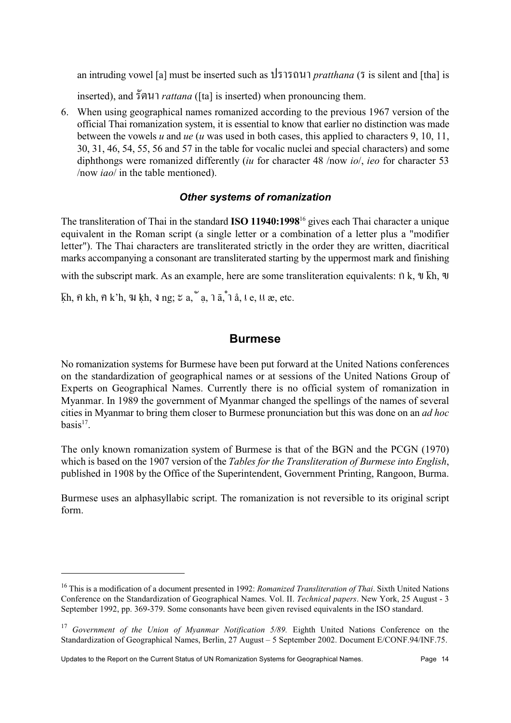an intruding vowel [a] must be inserted such as  $\sqrt{3}$  1515 0  $\mu$  1 *pratthana* (5 is silent and [tha] is

inserted), and  $\tilde{5}$ *®*141 *rattana* ([ta] is inserted) when pronouncing them.

6. When using geographical names romanized according to the previous 1967 version of the official Thai romanization system, it is essential to know that earlier no distinction was made between the vowels u and ue (u was used in both cases, this applied to characters 9, 10, 11, 30, 31, 46, 54, 55, 56 and 57 in the table for vocalic nuclei and special characters) and some diphthongs were romanized differently (iu for character 48 /now io/, ieo for character 53 /now  $iao/$  in the table mentioned).

## Other systems of romanization

The transliteration of Thai in the standard ISO 11940:1998<sup>16</sup> gives each Thai character a unique equivalent in the Roman script (a single letter or a combination of a letter plus a "modifier letter"). The Thai characters are transliterated strictly in the order they are written, diacritical marks accompanying a consonant are transliterated starting by the uppermost mark and finishing

with the subscript mark. As an example, here are some transliteration equivalents:  $\hat{\theta}$  k,  $\hat{\theta}$  kh,  $\hat{\theta}$ 

 $\overline{k}$ h,  $\hat{n}$  kh,  $\hat{n}$  k'h,  $\hat{y}$  kh,  $\hat{y}$  ng;  $\hat{z}$  a,  $\hat{a}$ ,  $\hat{a}$ ,  $\hat{a}$ ,  $\hat{b}$ ,  $\hat{c}$ ,  $\hat{d}$ ,  $\hat{c}$ ,  $\hat{c}$ ,  $\hat{c}$ ,  $\hat{c}$ ,  $\hat{c}$ ,  $\hat{c}$ ,  $\hat{c}$ ,  $\hat{d}$ ,  $\hat{c}$ ,  $\hat{c}$ ,  $\hat{d}$ ,

## **Burmese**

No romanization systems for Burmese have been put forward at the United Nations conferences on the standardization of geographical names or at sessions of the United Nations Group of Experts on Geographical Names. Currently there is no official system of romanization in Myanmar. In 1989 the government of Myanmar changed the spellings of the names of several cities in Myanmar to bring them closer to Burmese pronunciation but this was done on an *ad hoc*  $basis<sup>17</sup>$ .

The only known romanization system of Burmese is that of the BGN and the PCGN (1970) which is based on the 1907 version of the *Tables for the Transliteration of Burmese into English*, published in 1908 by the Office of the Superintendent, Government Printing, Rangoon, Burma.

Burmese uses an alphasyllabic script. The romanization is not reversible to its original script form.

<sup>&</sup>lt;sup>16</sup> This is a modification of a document presented in 1992: *Romanized Transliteration of Thai*. Sixth United Nations Conference on the Standardization of Geographical Names. Vol. II. Technical papers. New York, 25 August - 3 September 1992, pp. 369-379. Some consonants have been given revised equivalents in the ISO standard.

<sup>&</sup>lt;sup>17</sup> Government of the Union of Myanmar Notification  $5/89$ . Eighth United Nations Conference on the Standardization of Geographical Names, Berlin, 27 August - 5 September 2002. Document E/CONF.94/INF.75.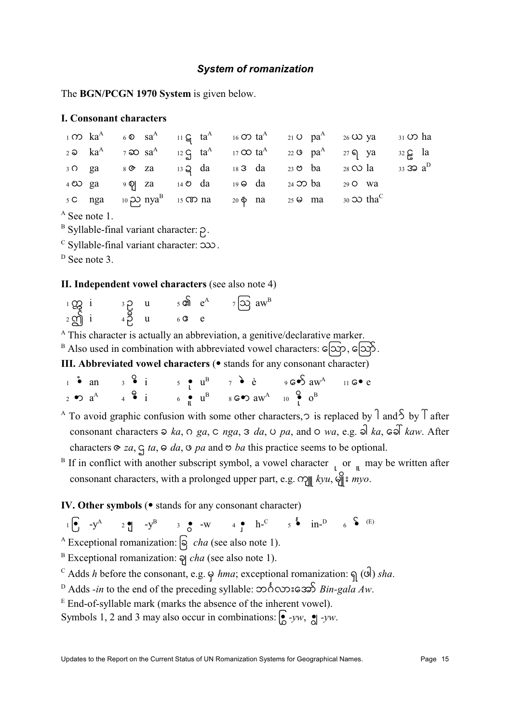#### **System of romanization**

The BGN/PCGN 1970 System is given below.

#### **I. Consonant characters**

|  |  | $1 \text{ }\Omega$ $1 \text{ }\Omega$ $1 \text{ }\Omega$ $6 \text{ }\Omega$ $11 \text{ }\Omega$ $16 \text{ }\Omega$ $10 \text{ }\Omega$ $10 \text{ }\Omega$ $10 \text{ }\Omega$ $10 \text{ }\Omega$ $10 \text{ }\Omega$ $10 \text{ }\Omega$ $10 \text{ }\Omega$ |  |             |
|--|--|-----------------------------------------------------------------------------------------------------------------------------------------------------------------------------------------------------------------------------------------------------------------|--|-------------|
|  |  | 2 $\infty$ ka <sup>A</sup> 7 $\infty$ sa <sup>A</sup> 12 $\infty$ ta <sup>A</sup> 17 $\infty$ ta <sup>A</sup> 22 $\infty$ pa <sup>A</sup> 27 $\infty$ ya                                                                                                        |  | $32 \xi$ la |
|  |  | 3 O ga $\approx$ 8 O za $\approx$ 13 Q da $\approx$ 18 3 da $\approx$ 23 O ba $\approx$ 28 O la $\approx$ 33 S a <sup>D</sup>                                                                                                                                   |  |             |
|  |  | 4 20 ga 9 9 za 14 2 da 19 c da 24 20 ba 29 0 wa                                                                                                                                                                                                                 |  |             |
|  |  | $5 \text{ C}$ nga $10 \text{ P}$ nya <sup>B</sup> 15 $\text{CD}$ na $20 \text{ P}$ na $25 \text{ P}$ ma $30 \text{ D}$ tha <sup>C</sup>                                                                                                                         |  |             |

 $A$  See note 1.

 $B$  Syllable-final variant character:  $\rho$ .

 $\textdegree$  Syllable-final variant character:  $\infty$ .

 $D$  See note 3.

#### II. Independent vowel characters (see also note 4)

| $\frac{1}{2}$ က္ကြား         | $3^{\circ}$ | $5$ cn $e^A$ | $7\overline{)Q}$ aw <sup>B</sup> |
|------------------------------|-------------|--------------|----------------------------------|
| $2 \overline{\mathcal{S}}$ i | $43$ u      | $6$ $C$ $C$  |                                  |

 $\overline{A}$  This character is actually an abbreviation, a genitive/declarative marker.

B Also used in combination with abbreviated vowel characters:  $\epsilon$ [ $\Im p$ ,  $\epsilon$  $\Im \delta$ . III. Abbreviated vowel characters ( $\bullet$  stands for any consonant character)

|  | $\frac{1}{1}$ $\bullet$ an $\frac{1}{3}$ $\bullet$ $\frac{1}{1}$ $\frac{1}{5}$ $\bullet$ $\frac{1}{1}$ $\frac{1}{7}$ $\bullet$ $\frac{3}{5}$ $\bullet$ $\frac{1}{7}$ $\bullet$ $\frac{3}{5}$ $\bullet$ $\frac{1}{7}$ $\bullet$ $\frac{3}{5}$ $\bullet$ $\frac{1}{7}$ $\bullet$ $\frac{3}{5}$ $\bullet$ $\frac{1}{7}$ $\bullet$ $\frac{3}{5}$ $\bullet$ $\frac$ |  |  |
|--|----------------------------------------------------------------------------------------------------------------------------------------------------------------------------------------------------------------------------------------------------------------------------------------------------------------------------------------------------------------|--|--|
|  | $\frac{1}{2}$ $\bullet$ $\frac{1}{4}$ $\bullet$ $\frac{1}{4}$ $\bullet$ $\frac{1}{4}$ $\bullet$ $\frac{1}{4}$ $\frac{1}{4}$ $\bullet$ $\frac{1}{4}$ $\bullet$ $\frac{1}{4}$ $\bullet$ $\frac{1}{4}$ $\bullet$ $\frac{1}{4}$ $\bullet$ $\frac{1}{4}$ $\bullet$ $\frac{1}{4}$ $\bullet$ $\frac{1}{4}$ $\bullet$ $\frac{1}{4}$ $\bullet$ $\frac{1}{4}$ $\bullet$  |  |  |

<sup>A</sup> To avoid graphic confusion with some other characters,  $\circ$  is replaced by  $\int$  and  $\int$  by  $\int$  after consonant characters  $\infty$  ka,  $\circ$  ga,  $\infty$  nga,  $\infty$  da,  $\circ$  pa, and  $\circ$  wa, e.g.  $\infty$  ka,  $\infty$  kaw. After characters  $\infty$  za,  $\infty$  ta,  $\infty$  da,  $\infty$  pa and  $\infty$  ba this practice seems to be optional.

<sup>B</sup> If in conflict with another subscript symbol, a vowel character  $\int$  or  $\int$  may be written after consonant characters, with a prolonged upper part, e.g.  $\Omega$   $\parallel$  kyu,  $\Theta$   $\parallel$   $\epsilon$  myo.

IV. Other symbols ( $\bullet$  stands for any consonant character)

 $1 \bullet 2 \bullet 3 \bullet 4$ <br> $1 \bullet 5 \bullet 11^{-D}$ <br> $1 \bullet 6 \bullet 11$ 

<sup>A</sup> Exceptional romanization:  $\boxed{\mathcal{S}}$  *cha* (see also note 1).

<sup>B</sup> Exceptional romanization:  $\overline{q}$  *cha* (see also note 1).

- <sup>C</sup> Adds *h* before the consonant, e.g.  $\varphi$  *hma*; exceptional romanization:  $\varphi$  (or) *sha*.
- <sup>D</sup> Adds -in to the end of the preceding syllable:  $\infty$   $\delta$   $\infty$  as  $\infty$  Bin-gala Aw.
- $E$  End-of-syllable mark (marks the absence of the inherent vowel).

Symbols 1, 2 and 3 may also occur in combinations:  $\int_{0}^{\infty} -yw$ ,  $\int_{0}^{\infty} -yw$ .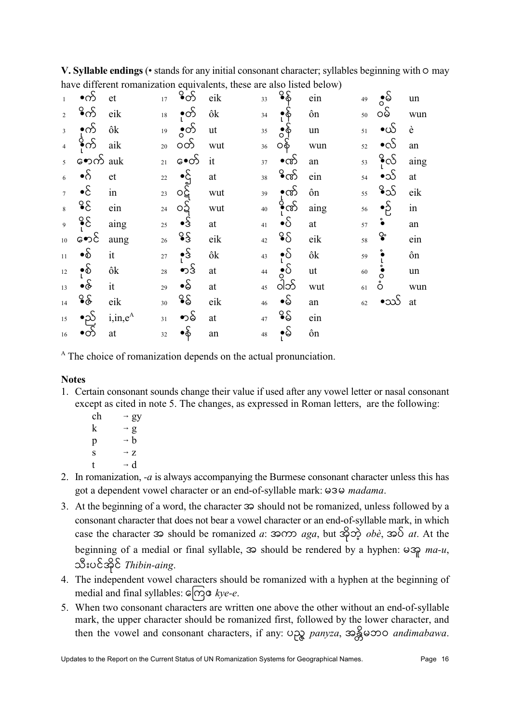V. Syllable endings (• stands for any initial consonant character; syllables beginning with  $\circ$  may have different romanization equivalents, these are also listed below)

| $\bar{1}$        | •က်                                                   | et           | 17 <sup>17</sup> | ိတ်                                                            | eik                     | 33              | ိန်                                      | ein        | 49     | ္မွန္ပ်                  | un                       |
|------------------|-------------------------------------------------------|--------------|------------------|----------------------------------------------------------------|-------------------------|-----------------|------------------------------------------|------------|--------|--------------------------|--------------------------|
| $\overline{2}$   | ိက် eik                                               |              |                  | $18 \quad \bullet \bullet$                                     | ôk                      | 34              | $\bullet$ $\dot{\hat{\mathbf{\varphi}}}$ | ôn         | 50     | ဝမ်                      | wun                      |
|                  | $\begin{matrix} 3 & 0 \\ 1 & 0 \\ 4 & 0 \end{matrix}$ | ôk           | 19 <sup>°</sup>  | ္မွတ်                                                          | $\mathbf{u} \mathbf{t}$ | 35 <sup>°</sup> | ္မွန္                                    | $\,$ un    | 51     | $\bullet$ ယ်             | è                        |
|                  |                                                       | aik          | $20\,$           | ၀တ်                                                            | wut                     | 36 <sup>°</sup> | ဝန်                                      | wun        | 52     | $\bullet$ c $\mathcal S$ | an                       |
| $\overline{5}$   | <b>ော</b> က် auk                                      |              | 21               | မ•ေတ် it                                                       |                         | 37              | $\bullet$ ဏ်                             | an         | 53     | ိုလ်                     | aing                     |
| $6\phantom{a}$   | $\bullet$ $\delta$                                    | et           |                  | 22 $\bullet$ at<br>23 $\circ$ at wut<br>24 $\circ$ $\circ$ wut |                         | 38              | ိက်                                      | ein        | 54     | $\bullet$ သ်             | at                       |
| $\overline{7}$   | $ \mathcal{S}$                                        | in           |                  |                                                                |                         |                 | $39 - 80$                                | ôn         | 55     | ိသ်                      | eik                      |
| $\overline{8}$   | ္နွ                                                   | ein          |                  |                                                                |                         | 40 <sup>°</sup> | <b>ဲ့</b> က်                             | aing       | 56     | $\bullet$ S              | in                       |
| $\overline{9}$   | $\frac{8}{5}$                                         | aing         | $25\overline{)}$ | $\bullet$ Ŝ                                                    | at                      | 41              | $\bullet$ S                              | at         | 57     | $\ddot{\bullet}$         | an                       |
| 10 <sup>10</sup> | မောင်                                                 | aung         | 26               | $\frac{8}{3}$                                                  | eik                     | 42              | ို့                                      | eik        | 58     | $\mathsf{Q}\circ$        | ein                      |
| $11^{\circ}$     | $\bullet$ $\delta$                                    | it           | 27               | $\cdot$ $\frac{5}{3}$                                          | ôk                      | 43              | $\cdot \delta$                           | ôk         | 59     | $\cdot$                  | $\hat{\text{o}}\text{n}$ |
| 12               | $\bullet$                                             | ôk           | 28               | ၈ $\mathcal{S}$                                                | at                      | 44 <sup>°</sup> | ွိ $\delta$                              | ut         | $60\,$ | $\sum_{i=1}^{n}$         | un                       |
| 13               | ∙ဇ်                                                   | it           | 29               | $\bullet$ $\delta$                                             | at                      | 45              | ဝါဘ်                                     | wut        | 61     | $\mathring{\circ}$       | wun                      |
| 14               | ္နွ                                                   | eik          | 30 <sup>1</sup>  | ိန္မွ                                                          | eik                     | $46\text{ }$    | $\bullet$ S                              | ${\rm an}$ | 62     | $\bullet$ သာ်            | at                       |
| 15               | •ည်                                                   | $i, in, e^A$ | 31               | ∙ာဓ်                                                           | at                      | 47              | ့ွေ                                      | ein        |        |                          |                          |
| 16               | $\overline{\mathcal{S}}$                              | at           | 32               | •န်                                                            | an                      | 48 <sup>°</sup> | ု့မ်                                     | ôn         |        |                          |                          |

<sup>A</sup> The choice of romanization depends on the actual pronunciation.

## **Notes**

- 1. Certain consonant sounds change their value if used after any vowel letter or nasal consonant except as cited in note 5. The changes, as expressed in Roman letters, are the following:
	- ch  $\rightarrow$  gy  $\mathbf{k}$  $\rightarrow$  g  $\rightarrow b$  $\mathbf{p}$  $\rightarrow$  Z  $S$  $\rightarrow$  d  $\ddagger$
- 2. In romanization,  $-a$  is always accompanying the Burmese consonant character unless this has got a dependent vowel character or an end-of-syllable mark: 030 madama.
- 3. At the beginning of a word, the character  $\infty$  should not be romanized, unless followed by a consonant character that does not bear a vowel character or an end-of-syllable mark, in which case the character  $\infty$  should be romanized a:  $\infty$  as  $\infty$  as  $\infty$  as  $\infty$  at At the beginning of a medial or final syllable,  $\infty$  should be rendered by a hyphen:  $\omega \approx p$  ma-u, သီးပင်အိုင် Thibin-aing.
- 4. The independent vowel characters should be romanized with a hyphen at the beginning of medial and final syllables:  $G[\overrightarrow{\alpha}]$  & kye-e.
- 5. When two consonant characters are written one above the other without an end-of-syllable mark, the upper character should be romanized first, followed by the lower character, and then the vowel and consonant characters, if any:  $\bigcirc$  panyza,  $\mathcal{S}$ goo andimabawa.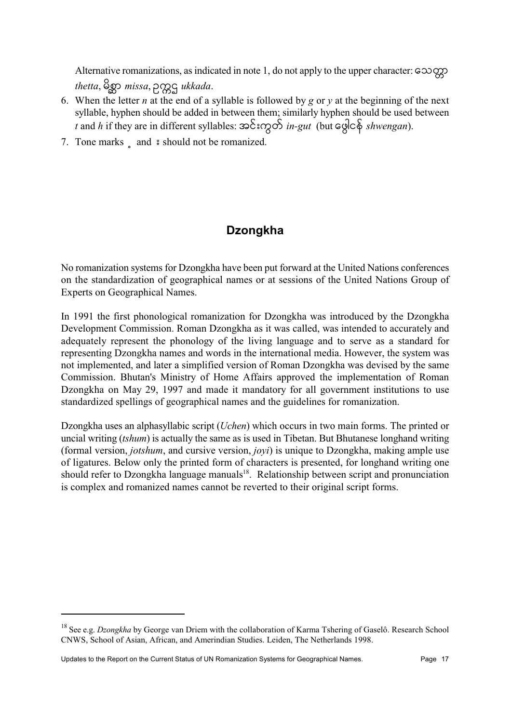Alternative romanizations, as indicated in note 1, do not apply to the upper character: 20000 thetta, 8go missa, pogg ukkada.

- 6. When the letter *n* at the end of a syllable is followed by *g* or *y* at the beginning of the next syllable, hyphen should be added in between them; similarly hyphen should be used between t and h if they are in different syllables:  $\infty$   $\sum$   $\infty$   $\infty$   $\infty$   $\infty$  for  $\infty$   $\infty$   $\infty$   $\infty$   $\infty$   $\infty$  for  $\infty$   $\infty$   $\infty$   $\infty$   $\infty$   $\infty$   $\infty$   $\infty$   $\infty$   $\infty$   $\infty$   $\infty$   $\infty$   $\infty$   $\infty$   $\infty$   $\$
- 7. Tone marks and  $\frac{1}{2}$  should not be romanized.

## **Dzongkha**

No romanization systems for Dzongkha have been put forward at the United Nations conferences on the standardization of geographical names or at sessions of the United Nations Group of Experts on Geographical Names.

In 1991 the first phonological romanization for Dzongkha was introduced by the Dzongkha Development Commission. Roman Dzongkha as it was called, was intended to accurately and adequately represent the phonology of the living language and to serve as a standard for representing Dzongkha names and words in the international media. However, the system was not implemented, and later a simplified version of Roman Dzongkha was devised by the same Commission. Bhutan's Ministry of Home Affairs approved the implementation of Roman Dzongkha on May 29, 1997 and made it mandatory for all government institutions to use standardized spellings of geographical names and the guidelines for romanization.

Dzongkha uses an alphasyllabic script *(Uchen)* which occurs in two main forms. The printed or uncial writing *(tshum)* is actually the same as is used in Tibetan. But Bhutanese longhand writing (formal version, *jotshum*, and cursive version, *joyi*) is unique to Dzongkha, making ample use of ligatures. Below only the printed form of characters is presented, for longhand writing one should refer to Dzongkha language manuals<sup>18</sup>. Relationship between script and pronunciation is complex and romanized names cannot be reverted to their original script forms.

<sup>&</sup>lt;sup>18</sup> See e.g. Dzongkha by George van Driem with the collaboration of Karma Tshering of Gaselô. Research School CNWS, School of Asian, African, and Amerindian Studies. Leiden, The Netherlands 1998.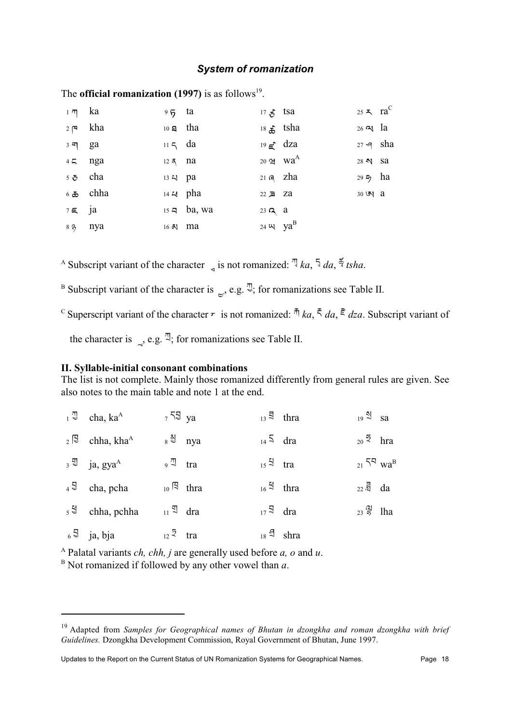#### **System of romanization**

| $1 \pi$ ka          |                                  | $95$ ta              |                          | $17\frac{1}{5}$ tsa      |                     | 25 $\lambda$ ra <sup>C</sup> |  |
|---------------------|----------------------------------|----------------------|--------------------------|--------------------------|---------------------|------------------------------|--|
|                     | $2 \,$ P kha                     | $10 \text{ g}$ tha   |                          |                          | 18 $\hat{f}$ tsha   | $26 \, \text{N}$ la          |  |
| $3 \overline{q}$ ga |                                  | $115$ da             |                          | $19 \epsilon^2$ dza      |                     | $27 - 9$ sha                 |  |
|                     | $45$ nga                         | $12 \overline{5}$ na |                          |                          | 20 $2 \text{ Wa}^A$ | 28 N Sa                      |  |
|                     | $5 \delta$ cha                   | 13 4 pa              |                          | $21 \text{ } q$ zha      |                     | 29 $\frac{1}{2}$ ha          |  |
|                     | $6\text{ }\mathbf{\bar{c}}$ chha |                      | 14 $\omega$ pha          | $22 \geqslant 2a$        |                     | $30 \,$ 5 $\sqrt{3}$ a       |  |
| $7 \in$ ja          |                                  |                      | $15 \leq \text{ba}$ , wa | 23 $\alpha$ a            |                     |                              |  |
|                     | 8 % nya                          | 16 A ma              |                          | 24 $\mu$ ya <sup>B</sup> |                     |                              |  |

The **official romanization** (1997) is as follows<sup>19</sup>.

<sup>A</sup> Subscript variant of the character s is not romanized:  $\frac{1}{4}$  ka,  $\frac{1}{4}$  da,  $\frac{1}{3}$  tsha.

<sup>B</sup> Subscript variant of the character is  $\epsilon$ , e.g.  $\mathbb{Z}$ ; for romanizations see Table II.

<sup>C</sup> Superscript variant of the character  $\tau$  is not romanized:  $\bar{\pi}$  ka,  $\bar{\xi}$  da,  $\bar{\xi}$  dza. Subscript variant of

the character is , e.g.  $\overline{B}$ ; for romanizations see Table II.

#### II. Syllable-initial consonant combinations

The list is not complete. Mainly those romanized differently from general rules are given. See also notes to the main table and note 1 at the end.

| $1^{\frac{\pi}{2}}$ cha, ka <sup>A</sup>          | $759 \text{ ya}$           |                        |                        | $_{13}$ $\bar{5}$ thra | $_{19}$ $\mathbb{S}$ sa                |  |
|---------------------------------------------------|----------------------------|------------------------|------------------------|------------------------|----------------------------------------|--|
| $_2$ [3 chha, kha <sup>A</sup>                    |                            | $8 \frac{3}{9}$ nya    | $_{14}$ 5 dra          |                        | $_{20}$ $\overline{2}$ hra             |  |
| $a_3 \stackrel{\text{d}}{=}$ ja, gya <sup>A</sup> | $9^{\frac{\pi}{2}}$ tra    |                        | $_{15}$ $\approx$ tra  |                        | $_{21}$ 5 <sup>4</sup> wa <sup>B</sup> |  |
| $4^{\frac{5}{3}}$ cha, pcha                       |                            | $_{10}$ $\upbeta$ thra | $_{16}$ $\approx$ thra |                        | $_{22}$ $\overline{a}$ da              |  |
| $5^{\frac{1}{3}}$ chha, pchha                     | $_{11}$ $\mathbb{I}$ dra   |                        | $17^{\frac{5}{3}}$ dra |                        | $_{23}$ $\frac{21}{5}$ lha             |  |
| $6^{\frac{5}{3}}$ ja, bja                         | $_{12}$ $\overline{z}$ tra |                        |                        | $_{18}$ $\Im$ shra     |                                        |  |

<sup>A</sup> Palatal variants *ch*, *chh*, *j* are generally used before *a*, *o* and *u*.

 $B$  Not romanized if followed by any other vowel than  $a$ .

 $19$  Adapted from Samples for Geographical names of Bhutan in dzongkha and roman dzongkha with brief Guidelines. Dzongkha Development Commission, Royal Government of Bhutan, June 1997.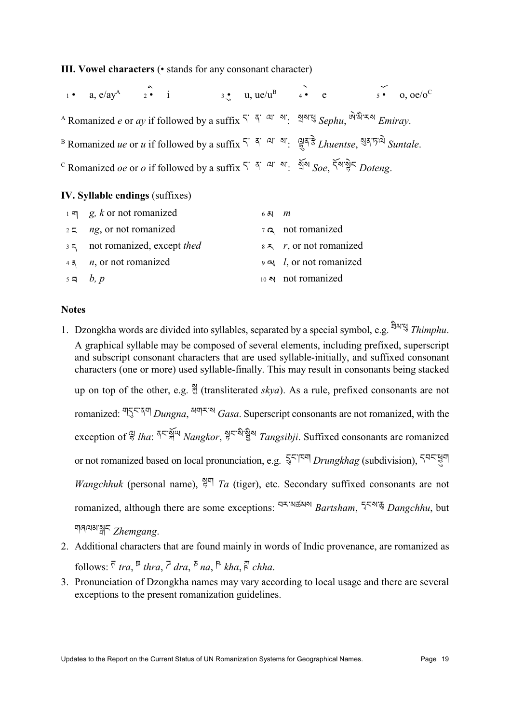#### III. Vowel characters (• stands for any consonant character)

 $3 \bullet$  u, ue/u<sup>B</sup>  $4 \bullet$  e  $5 \bullet$  0, oe/o<sup>C</sup> a.  $e/av^A$   $2 \cdot i$  $\overline{1}$   $\bullet$ A Romanized e or ay if followed by a suffix  $5^{\circ}$   $3^{\circ}$  as  $\frac{3!}{2!}$   $3!$   $\frac{1}{2!}$   $3!$   $\frac{1}{2!}$   $3!$   $\frac{1}{2!}$   $3!$   $\frac{1}{2!}$   $3!$   $\frac{1}{2!}$   $3!$   $\frac{1}{2!}$   $3!$   $\frac{1}{2!}$   $3!$   $\frac{1}{2!}$   $3!$   $\frac{1}{2!}$   $3$ B Romanized *ue* or *u* if followed by a suffix  $5^{\prime}$   $5^{\prime}$  <sup>a</sup>'  $\frac{1}{2}$ '  $\frac{1}{5}$ ' *a*' *a' huentse*.  $\sqrt[3]{5}$ ' *a*<sup>'</sup> *Suntale*. C Romanized *oe* or *o* if followed by a suffix  $5^{\circ}$   $\frac{5^{\circ}}{9}$   $\frac{4^{\circ}}{9}$   $\frac{5^{\circ}}{9}$   $\frac{5^{\circ}}{9}$   $\frac{5^{\circ}}{9}$   $\frac{5^{\circ}}{9}$   $\frac{5^{\circ}}{9}$   $\frac{5^{\circ}}{9}$   $\frac{5^{\circ}}{9}$   $\frac{5^{\circ}}{9}$   $\frac{5^{\circ}}{9}$   $\frac{5^{\circ}}{9$ 

#### IV. Syllable endings (suffixes)

| $1 - \pi$ g, k or not romanized        | 67 $m$ |                                  |
|----------------------------------------|--------|----------------------------------|
| $25$ ng, or not romanized              |        | $7\sigma$ not romanized          |
| 35 not romanized, except thed          |        | $8 \le r$ , or not romanized     |
| $4\bar{5}$ <i>n</i> , or not romanized |        | $9 \approx l$ , or not romanized |
| $5a$ b, p                              |        | $10 \,$ N not romanized          |

#### **Notes**

- 1. Dzongkha words are divided into syllables, separated by a special symbol, e.g.  $\frac{a}{2}$  Thimphu. A graphical syllable may be composed of several elements, including prefixed, superscript and subscript consonant characters that are used syllable-initially, and suffixed consonant characters (one or more) used syllable-finally. This may result in consonants being stacked up on top of the other, e.g.  $\frac{5}{2}$  (transliterated skya). As a rule, prefixed consonants are not romanized:  $\frac{15}{5}$ ,  $\frac{15}{4}$ ,  $\frac{15}{4}$ ,  $\frac{15}{4}$ ,  $\frac{15}{4}$ ,  $\frac{15}{4}$ ,  $\frac{15}{4}$ ,  $\frac{15}{4}$ ,  $\frac{15}{4}$ ,  $\frac{15}{4}$ ,  $\frac{15}{4}$ ,  $\frac{15}{4}$ ,  $\frac{15}{4}$ ,  $\frac{15}{4}$ ,  $\frac{15}{4}$ ,  $\frac{15}{4}$ ,  $\frac{15}{4}$ ,  $\frac{15$ exception of  $\frac{a_1}{5}$  lha:  $\frac{a_1}{5}$   $\frac{a_2}{5}$   $\frac{a_3}{5}$   $\frac{a_4}{5}$   $\frac{a_5}{5}$   $\frac{a_5}{5}$   $\frac{a_6}{5}$   $\frac{a_7}{5}$   $\frac{a_8}{5}$   $\frac{a_9}{5}$   $\frac{a_1}{5}$   $\frac{a_2}{5}$   $\frac{a_3}{5}$   $\frac{a_4}{5}$   $\frac{a_5}{5}$   $\frac{a_6}{5}$ or not romanized based on local pronunciation, e.g.  $\frac{5}{3}$ <sup> $\zeta$ </sup> $\left[\frac{8}{3}\right]$  *Drungkhag* (subdivision),  $\zeta$ <sup> $q$  $\zeta$  $\frac{13}{3}$ </sup> *Wangchhuk* (personal name),  $\frac{N}{2}$  *Ta* (tiger), etc. Secondary suffixed consonants are not romanized, although there are some exceptions:  $\frac{45.34548}{8}$  Bartsham,  $\frac{5}{5}$  Dangchhu, but गाबव्ययाञ्जन Zhemgang.
- 2. Additional characters that are found mainly in words of Indic provenance, are romanized as follows:  $\overline{\zeta}$  tra,  $\overline{\zeta}$  thra,  $\overline{\zeta}$  dra,  $\overline{\zeta}$  na,  $\overline{\zeta}$  kha,  $\overline{\zeta}$  chha.
- 3. Pronunciation of Dzongkha names may vary according to local usage and there are several exceptions to the present romanization guidelines.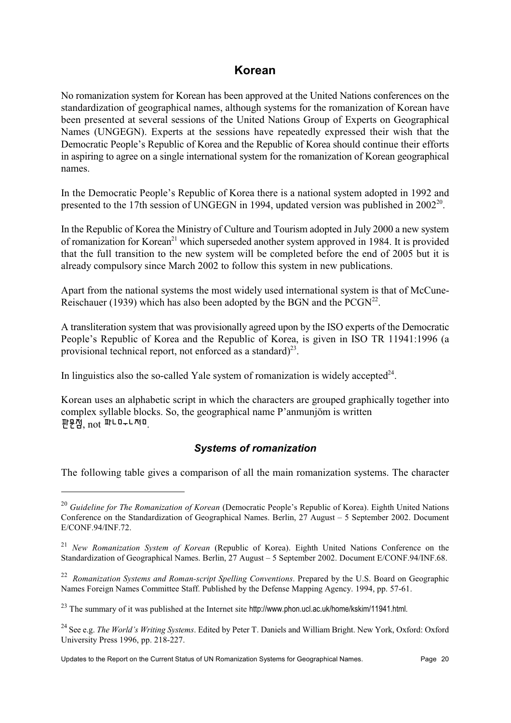## Korean

No romanization system for Korean has been approved at the United Nations conferences on the standardization of geographical names, although systems for the romanization of Korean have been presented at several sessions of the United Nations Group of Experts on Geographical Names (UNGEGN). Experts at the sessions have repeatedly expressed their wish that the Democratic People's Republic of Korea and the Republic of Korea should continue their efforts in aspiring to agree on a single international system for the romanization of Korean geographical names.

In the Democratic People's Republic of Korea there is a national system adopted in 1992 and presented to the 17th session of UNGEGN in 1994, updated version was published in 2002<sup>20</sup>.

In the Republic of Korea the Ministry of Culture and Tourism adopted in July 2000 a new system of romanization for Korean<sup>21</sup> which superseded another system approved in 1984. It is provided that the full transition to the new system will be completed before the end of 2005 but it is already compulsory since March 2002 to follow this system in new publications.

Apart from the national systems the most widely used international system is that of McCune-Reischauer (1939) which has also been adopted by the BGN and the  $PCGN^{22}$ .

A transliteration system that was provisionally agreed upon by the ISO experts of the Democratic People's Republic of Korea and the Republic of Korea, is given in ISO TR 11941:1996 (a provisional technical report, not enforced as a standard) $^{23}$ .

In linguistics also the so-called Yale system of romanization is widely accepted<sup>24</sup>.

Korean uses an alphabetic script in which the characters are grouped graphically together into complex syllable blocks. So, the geographical name P'anmunjom is written 판문점, not 파니미ㅜ니저미.

## **Systems of romanization**

The following table gives a comparison of all the main romanization systems. The character

<sup>&</sup>lt;sup>20</sup> Guideline for The Romanization of Korean (Democratic People's Republic of Korea). Eighth United Nations Conference on the Standardization of Geographical Names. Berlin, 27 August - 5 September 2002. Document E/CONF.94/INF.72.

<sup>&</sup>lt;sup>21</sup> New Romanization System of Korean (Republic of Korea). Eighth United Nations Conference on the Standardization of Geographical Names. Berlin, 27 August - 5 September 2002. Document E/CONF.94/INF.68.

 $^{22}$  Romanization Systems and Roman-script Spelling Conventions. Prepared by the U.S. Board on Geographic Names Foreign Names Committee Staff. Published by the Defense Mapping Agency. 1994, pp. 57-61.

<sup>&</sup>lt;sup>23</sup> The summary of it was published at the Internet site http://www.phon.ucl.ac.uk/home/kskim/11941.html.

<sup>&</sup>lt;sup>24</sup> See e.g. *The World's Writing Systems*. Edited by Peter T. Daniels and William Bright. New York, Oxford: Oxford University Press 1996, pp. 218-227.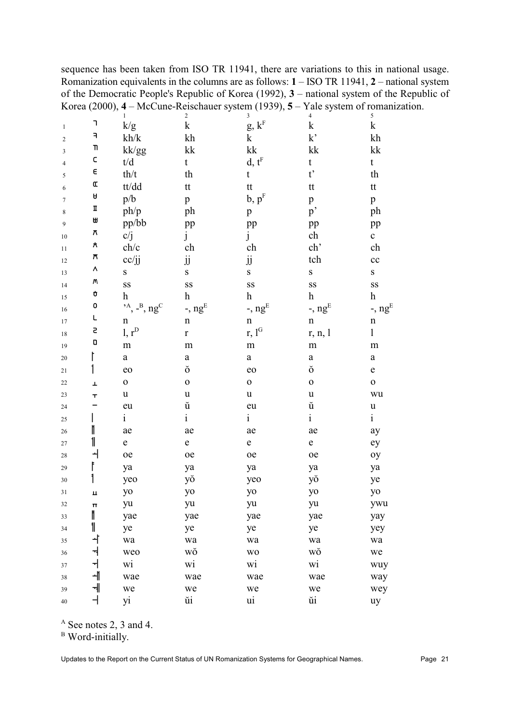sequence has been taken from ISO TR 11941, there are variations to this in national usage. Romanization equivalents in the columns are as follows:  $1 - ISO TR 11941$ ,  $2 -$  national system of the Democratic People's Republic of Korea (1992),  $3$  – national system of the Republic of Korea (2000),  $4 - \text{McCune-Reschauer system}$  (1939),  $5 - \text{Yale system}$  of romanization.

|                  |                | $\mathbf{1}$                                          | $\boldsymbol{2}$     | $\sqrt{3}$                   | $\overline{4}$        | 5                         |
|------------------|----------------|-------------------------------------------------------|----------------------|------------------------------|-----------------------|---------------------------|
| $\mathbf{1}$     | ٦              | k/g                                                   | $\mathbf k$          | g, $k^{\textrm{\tiny{F}}}$   | $\mathbf k$           | $\mathbf k$               |
| $\overline{c}$   | F              | kh/k                                                  | kh                   | $\mathbf k$                  | k                     | kh                        |
| 3                | T              | kk/gg                                                 | kk                   | ${\bf k}{\bf k}$             | kk                    | kk                        |
| $\overline{4}$   | $\mathsf C$    | $t\!/d$                                               | $\mathbf t$          | $d, t^F$                     | $\mathbf t$           | $\mathbf t$               |
| 5                | $\in$          | th/t                                                  | th                   | $\mathfrak{t}$               | $t^{\prime}$          | th                        |
| 6                | $\pmb{\alpha}$ | tt/dd                                                 | tt                   | tt                           | tt                    | $\mathsf{t}\mathsf{t}$    |
| $\boldsymbol{7}$ | Ĥ              | $\rm p/b$                                             | $\mathbf{p}$         | b, p <sup>F</sup>            | p                     | $\mathbf{p}$              |
| 8                | П              | ph/p                                                  | ph                   | $\mathbf{p}$                 | p'                    | ph                        |
| 9                | ₩              | pp/bb                                                 | pp                   | pp                           | pp                    | pp                        |
| 10               | π              | c/j                                                   | j                    | $\mathbf{j}$                 | ch                    | $\mathbf c$               |
| 11               | $\pmb{\pi}$    | $\ensuremath{\text{ch}}\xspace/\ensuremath{\text{c}}$ | ch                   | ch                           | ch'                   | ch                        |
| 12               | $\overline{r}$ | cc/jj                                                 | jj                   | $\rm jj$                     | tch                   | cc                        |
| 13               | ٨              | $\mathbf S$                                           | ${\bf S}$            | ${\bf S}$                    | $\bf S$               | ${\bf S}$                 |
| 14               | М              | SS                                                    | SS                   | SS                           | SS                    | $\mathbf{S}\mathbf{S}$    |
| 15               | Ù              | $\boldsymbol{\mathrm{h}}$                             | $\boldsymbol{h}$     | $\boldsymbol{\text{h}}$      | $\boldsymbol{h}$      | $\boldsymbol{\mathrm{h}}$ |
| 16               | 0              | $,$ <sup>A</sup> , $-$ <sup>B</sup> , ng <sup>C</sup> | -, $ng^E$            | -, $ng^E$                    | $-$ , ng <sup>E</sup> | -, $ng^E$                 |
| 17               | L              | $\mathbf n$                                           | $\mathbf n$          | $\mathbf n$                  | $\mathbf n$           | $\mathbf n$               |
| $18\,$           | 5              | $1, r^D$                                              | $\mathbf r$          | r, $\mathbf{l}^{\mathrm{G}}$ | r, n, l               | $\mathbf{1}$              |
| 19               | $\hbox{\bf D}$ | m                                                     | m                    | ${\rm m}$                    | m                     | ${\rm m}$                 |
| $20\,$           |                | $\mathbf{a}$                                          | $\rm{a}$             | $\rm{a}$                     | $\rm{a}$              | $\mathbf{a}$              |
| 21               |                | eo                                                    | $\check{\mathrm{o}}$ | eo                           | ŏ                     | ${\bf e}$                 |
| $22\,$           | Ŧ              | $\mathbf 0$                                           | $\mathbf 0$          | $\mathbf 0$                  | $\mathbf 0$           | $\mathbf 0$               |
| $23\,$           | ᠇              | $\mathbf u$                                           | $\mathbf u$          | $\mathbf u$                  | u                     | wu                        |
| 24               |                | eu                                                    | ŭ                    | eu                           | ŭ                     | $\mathbf u$               |
| 25               |                | $\mathbf{i}$                                          | $\mathbf{i}$         | $\mathbf{i}$                 | $\mathbf{i}$          | $\mathbf{i}$              |
| 26               | ı              | ae                                                    | ae                   | ae                           | ae                    | ay                        |
| $27\,$           | 11             | $\mathbf e$                                           | ${\bf e}$            | $\mathbf e$                  | $\mathbf e$           | ey                        |
| $28\,$           |                | oe                                                    | oe                   | oe                           | oe                    | oy                        |
| 29               |                | ya                                                    | ya                   | ya                           | ya                    | ya                        |
| 30               |                | yeo                                                   | yŏ                   | yeo                          | yŏ                    | ye                        |
| 31               | ц              | yo                                                    | yo                   | yo                           | yo                    | yo                        |
| 32               | π              | yu                                                    | yu                   | yu                           | yu                    | ywu                       |
| 33               | ľ              | yae                                                   | yae                  | yae                          | yae                   | yay                       |
| 34               | 1              | ye                                                    | ye                   | ye                           | ye                    | yey                       |
| 35               | ᆦ              | wa                                                    | wa                   | wa                           | wa                    | wa                        |
| 36               | ᅯ              | weo                                                   | wŏ                   | <b>WO</b>                    | wŏ                    | we                        |
| 37               | ᅱ              | wi                                                    | wi                   | wi                           | wi                    | wuy                       |
| $38\,$           | ᆌ              | wae                                                   | wae                  | wae                          | wae                   | way                       |
| 39               | ᅰ              | we                                                    | we                   | we                           | we                    | wey                       |
| $40\,$           |                | yi                                                    | ŭi                   | ui                           | ŭi                    | uy                        |

 $^{\rm A}$  See notes 2, 3 and 4.

<sup>B</sup> Word-initially.